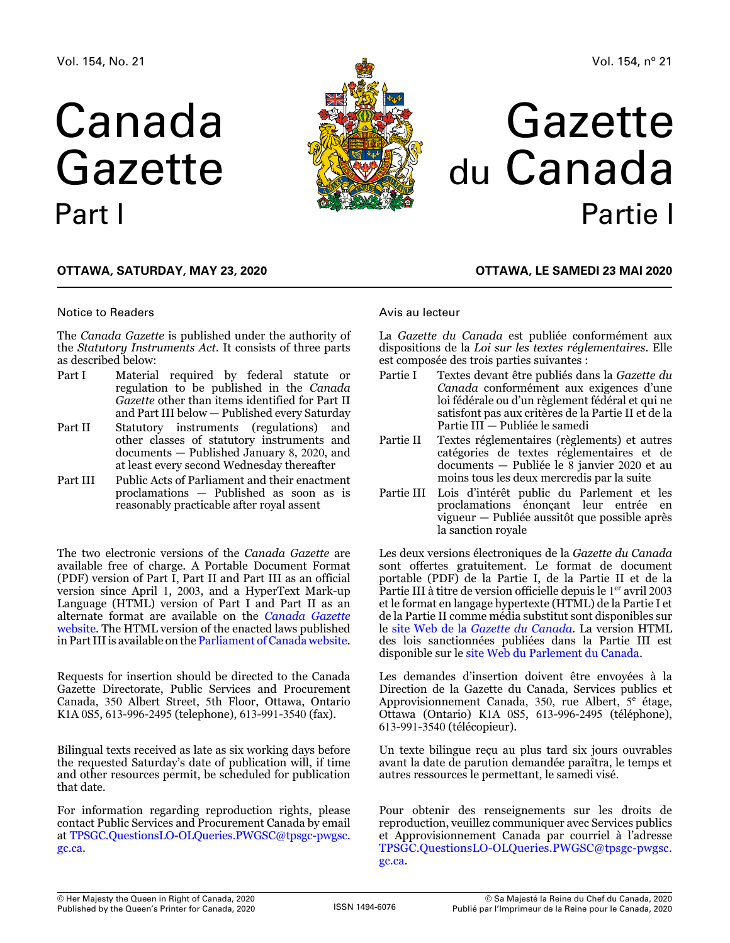# Canada Gazette Part I



## Gazette du Canada Partie I

### **OTTAWA, Saturday, May 23, 2020**

### Notice to Readers

The *Canada Gazette* is published under the authority of the *Statutory Instruments Act*. It consists of three parts as described below:

- Part I Material required by federal statute or regulation to be published in the *Canada Gazette* other than items identified for Part II and Part III below — Published every Saturday
- Part II Statutory instruments (regulations) and other classes of statutory instruments and documents — Published January 8, 2020, and at least every second Wednesday thereafter
- Part III Public Acts of Parliament and their enactment proclamations — Published as soon as is reasonably practicable after royal assent

The two electronic versions of the *Canada Gazette* are available free of charge. A Portable Document Format (PDF) version of Part I, Part II and Part III as an official version since April 1, 2003, and a HyperText Mark-up Language (HTML) version of Part I and Part II as an alternate format are available on the *[Canada Gazette](http://gazette.gc.ca)* [website](http://gazette.gc.ca). The HTML version of the enacted laws published in Part III is available on the [Parliament of Canada website](http://www.parl.gc.ca).

Requests for insertion should be directed to the Canada Gazette Directorate, Public Services and Procurement Canada, 350 Albert Street, 5th Floor, Ottawa, Ontario K1A 0S5, 613-996-2495 (telephone), 613-991-3540 (fax).

Bilingual texts received as late as six working days before the requested Saturday's date of publication will, if time and other resources permit, be scheduled for publication that date.

For information regarding reproduction rights, please contact Public Services and Procurement Canada by email at [TPSGC.QuestionsLO-OLQueries.PWGSC@tpsgc-pwgsc.](mailto:TPSGC.QuestionsLO-OLQueries.PWGSC%40tpsgc-pwgsc.gc.ca?subject=) [gc.ca](mailto:TPSGC.QuestionsLO-OLQueries.PWGSC%40tpsgc-pwgsc.gc.ca?subject=).

### **OTTAWA, LE samedi 23 mai 2020**

### Avis au lecteur

La *Gazette du Canada* est publiée conformément aux dispositions de la *Loi sur les textes réglementaires*. Elle est composée des trois parties suivantes :

- Partie I Textes devant être publiés dans la *Gazette du Canada* conformément aux exigences d'une loi fédérale ou d'un règlement fédéral et qui ne satisfont pas aux critères de la Partie II et de la Partie III — Publiée le samedi
- Partie II Textes réglementaires (règlements) et autres catégories de textes réglementaires et de documents — Publiée le 8 janvier 2020 et au moins tous les deux mercredis par la suite
- Partie III Lois d'intérêt public du Parlement et les proclamations énonçant leur entrée en vigueur — Publiée aussitôt que possible après la sanction royale

Les deux versions électroniques de la *Gazette du Canada* sont offertes gratuitement. Le format de document portable (PDF) de la Partie I, de la Partie II et de la Partie III à titre de version officielle depuis le 1<sup>er</sup> avril 2003 et le format en langage hypertexte (HTML) de la Partie I et de la Partie II comme média substitut sont disponibles sur le [site Web de la](http://gazette.gc.ca) *[Gazette du Canada](http://gazette.gc.ca)*. La version HTML des lois sanctionnées publiées dans la Partie III est disponible sur le [site Web du Parlement du Canada](http://www.parl.gc.ca).

Les demandes d'insertion doivent être envoyées à la Direction de la Gazette du Canada, Services publics et Approvisionnement Canada, 350, rue Albert, 5<sup>e</sup> étage, Ottawa (Ontario) K1A 0S5, 613-996-2495 (téléphone), 613-991-3540 (télécopieur).

Un texte bilingue reçu au plus tard six jours ouvrables avant la date de parution demandée paraîtra, le temps et autres ressources le permettant, le samedi visé.

Pour obtenir des renseignements sur les droits de reproduction, veuillez communiquer avec Services publics et Approvisionnement Canada par courriel à l'adresse [TPSGC.QuestionsLO-OLQueries.PWGSC@tpsgc-pwgsc.](mailto:TPSGC.QuestionsLO-OLQueries.PWGSC%40tpsgc-pwgsc.gc.ca?subject=) [gc.ca](mailto:TPSGC.QuestionsLO-OLQueries.PWGSC%40tpsgc-pwgsc.gc.ca?subject=).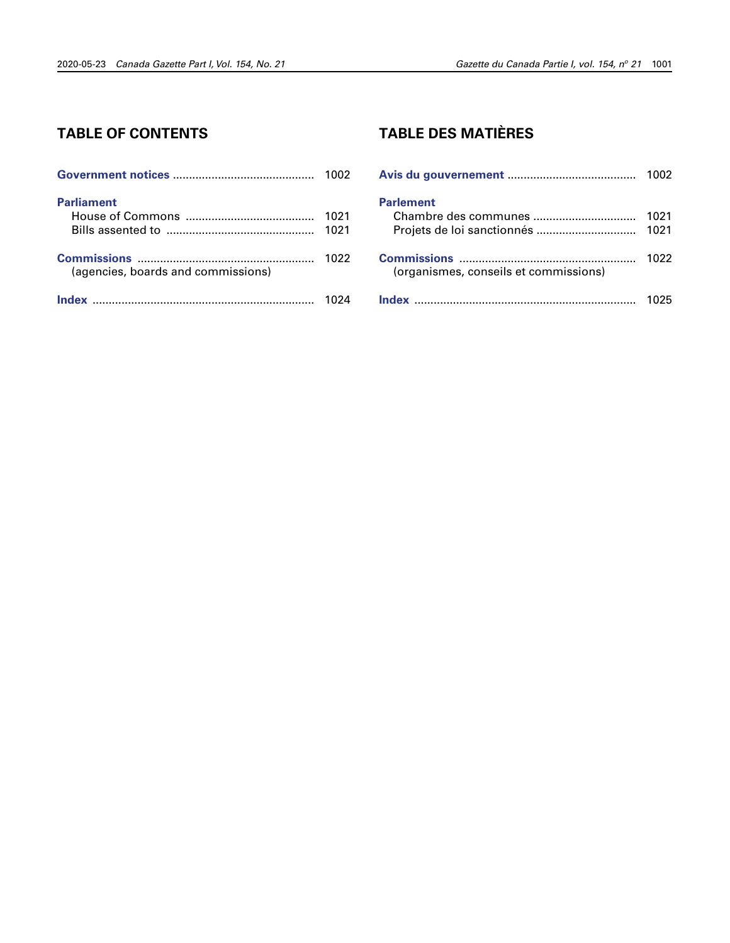### **TABLE OF CONTENTS**

|                                    | 1002         |
|------------------------------------|--------------|
| <b>Parliament</b>                  | 1021<br>1021 |
| (agencies, boards and commissions) | 1022         |
|                                    | 2Δ           |

### **TABLE DES MATIÈRES**

| <b>Parlement</b><br>Projets de loi sanctionnés | 1021<br>1021 |
|------------------------------------------------|--------------|
| (organismes, conseils et commissions)          | 1022         |
|                                                |              |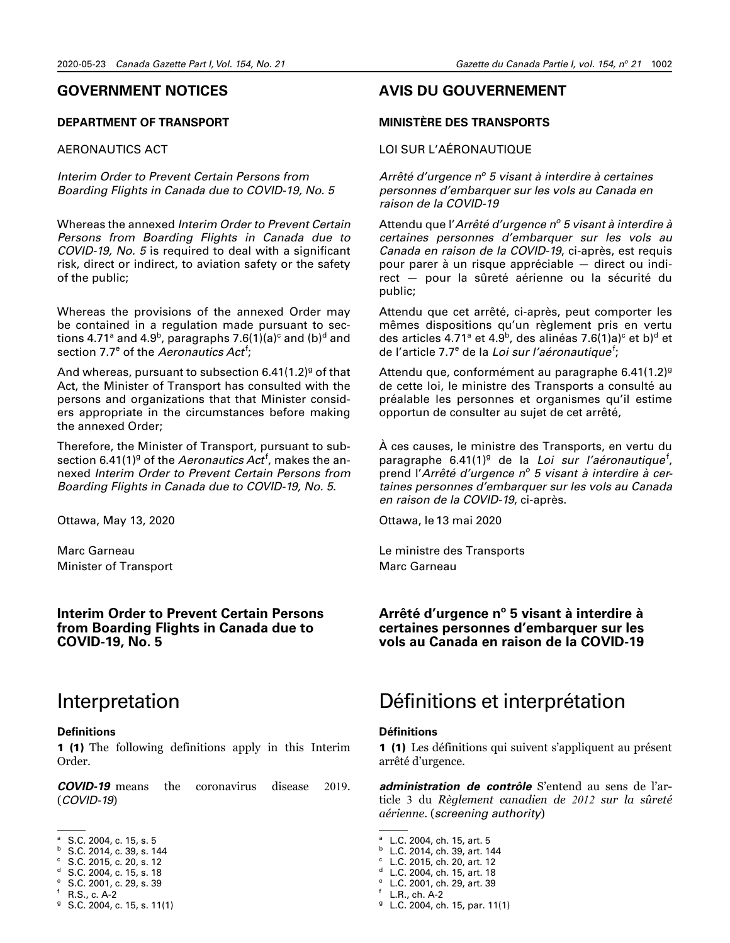### <span id="page-2-0"></span>**GOVERNMENT NOTICES**

#### **DEPARTMENT OF TRANSPORT**

### AERONAUTICS ACT

*Interim Order to Prevent Certain Persons from Boarding Flights in Canada due to COVID-19, No. 5*

Whereas the annexed *Interim Order to Prevent Certain Persons from Boarding Flights in Canada due to COVID-19, No. 5* is required to deal with a significant risk, direct or indirect, to aviation safety or the safety of the public;

Whereas the provisions of the annexed Order may be contained in a regulation made pursuant to sections 4.71ª and 4.9<sup>b</sup>, paragraphs 7.6(1)(a) $^{\rm c}$  and (b) $^{\rm d}$  and section 7.7<sup>e</sup> of the *Aeronautics Act<sup>f</sup>;* 

And whereas, pursuant to subsection 6.41(1.2)<sup>g</sup> of that Act, the Minister of Transport has consulted with the persons and organizations that that Minister considers appropriate in the circumstances before making the annexed Order;

Therefore, the Minister of Transport, pursuant to subsection 6.41(1)<sup>g</sup> of the *Aeronautics Act<sup>f</sup>,* makes the annexed *Interim Order to Prevent Certain Persons from Boarding Flights in Canada due to COVID-19, No. 5*.

Ottawa, May 13, 2020

Marc Garneau Minister of Transport

### **Interim Order to Prevent Certain Persons from Boarding Flights in Canada due to COVID-19, No. 5**

### Interpretation

### **Definitions**

1 (1) The following definitions apply in this Interim Order.

*COVID-19* means the coronavirus disease 2019. (*COVID-19*)

- <sup>a</sup> S.C. 2004, c. 15, s. 5
- $b$  S.C. 2014, c. 39, s. 144
- $\degree$  S.C. 2015, c. 20, s. 12
- <sup>d</sup> S.C. 2004, c. 15, s. 18
- <sup>e</sup> S.C. 2001, c. 29, s. 39
- <sup>f</sup> R.S., c. A-2
- <sup>9</sup> S.C. 2004, c. 15, s. 11(1)

### **AVIS DU GOUVERNEMENT**

### **MINISTÈRE DES TRANSPORTS**

### LOI SUR L'AÉRONAUTIQUE

*Arrêté d'urgence no 5 visant à interdire à certaines personnes d'embarquer sur les vols au Canada en raison de la COVID-19*

Attendu que l'*Arrêté d'urgence no 5 visant à interdire à certaines personnes d'embarquer sur les vols au Canada en raison de la COVID-19*, ci-après, est requis pour parer à un risque appréciable — direct ou indirect — pour la sûreté aérienne ou la sécurité du public;

Attendu que cet arrêté, ci-après, peut comporter les mêmes dispositions qu'un règlement pris en vertu des articles 4.71ª et 4.9<sup>b</sup>, des alinéas 7.6(1)a)<sup>c</sup> et b)<sup>d</sup> et de l'article 7.7<sup>e</sup> de la *Loi sur l'aéronautique<sup>f</sup>;* 

Attendu que, conformément au paragraphe 6.41(1.2)<sup>g</sup> de cette loi, le ministre des Transports a consulté au préalable les personnes et organismes qu'il estime opportun de consulter au sujet de cet arrêté,

À ces causes, le ministre des Transports, en vertu du paragraphe 6.41(1)<sup>g</sup> de la Loi sur l'aéronautique<sup>f</sup>, prend l'*Arrêté d'urgence n<sup>o</sup> 5 visant à interdire à certaines personnes d'embarquer sur les vols au Canada en raison de la COVID-19*, ci-après.

Ottawa, le 13 mai 2020

Le ministre des Transports Marc Garneau

### Arrêté d'urgence n° 5 visant à interdire à **certaines personnes d'embarquer sur les vols au Canada en raison de la COVID-19**

### Définitions et interprétation

#### **Définitions**

1 (1) Les définitions qui suivent s'appliquent au présent arrêté d'urgence.

*administration de contrôle* S'entend au sens de l'article 3 du *Règlement canadien de 2012 sur la sûreté aérienne*. (*screening authority*)

**b** L.C. 2014, ch. 39, art. 144

<sup>e</sup> L.C. 2001, ch. 29, art. 39

<sup>g</sup> L.C. 2004, ch. 15, par. 11(1)

<sup>a</sup> L.C. 2004, ch. 15, art. 5

 $C$ . L.C. 2015, ch. 20, art. 12

<sup>d</sup> L.C. 2004, ch. 15, art. 18

<sup>f</sup> L.R., ch. A-2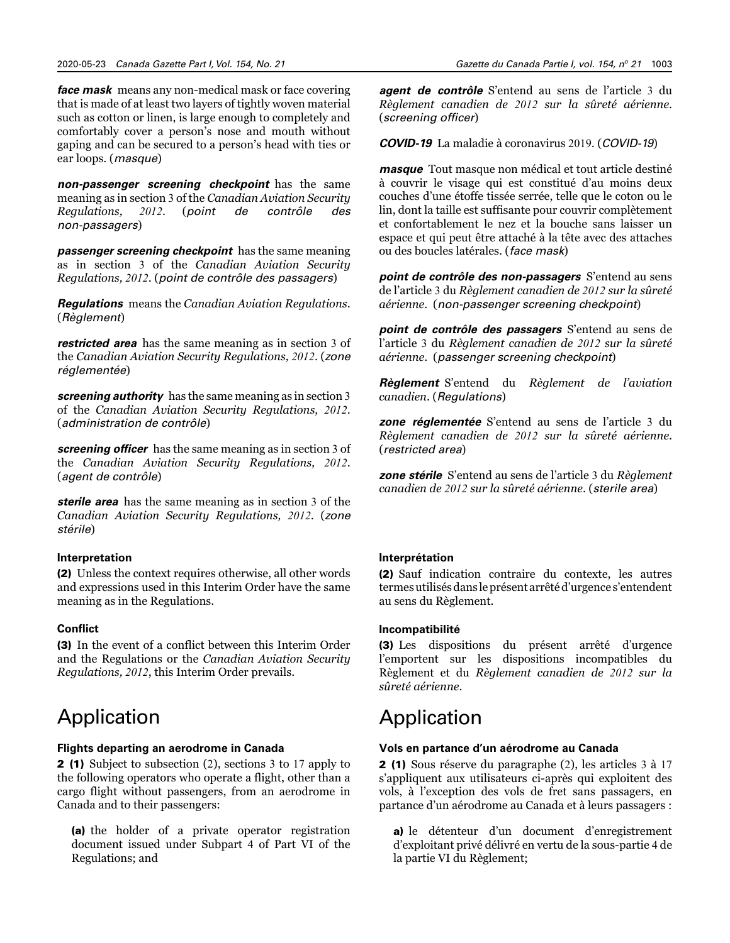*face mask* means any non-medical mask or face covering that is made of at least two layers of tightly woven material such as cotton or linen, is large enough to completely and comfortably cover a person's nose and mouth without gaping and can be secured to a person's head with ties or ear loops. (*masque*)

*non-passenger screening checkpoint* has the same meaning as in section 3 of the *Canadian Aviation Security Regulations, 2012*. (*point de contrôle des non-passagers*)

*passenger screening checkpoint* has the same meaning as in section 3 of the *Canadian Aviation Security Regulations, 2012*. (*point de contrôle des passagers*)

*Regulations* means the *Canadian Aviation Regulations*. (*Règlement*)

*restricted area* has the same meaning as in section 3 of the *Canadian Aviation Security Regulations, 2012*. (*zone réglementée*)

*screening authority* has the same meaning as in section 3 of the *Canadian Aviation Security Regulations, 2012*. (*administration de contrôle*)

*screening officer* has the same meaning as in section 3 of the *Canadian Aviation Security Regulations, 2012*. (*agent de contrôle*)

*sterile area* has the same meaning as in section 3 of the *Canadian Aviation Security Regulations, 2012*. (*zone stérile*)

### **Interpretation**

(2) Unless the context requires otherwise, all other words and expressions used in this Interim Order have the same meaning as in the Regulations.

### **Conflict**

(3) In the event of a conflict between this Interim Order and the Regulations or the *Canadian Aviation Security Regulations, 2012*, this Interim Order prevails.

### Application

#### **Flights departing an aerodrome in Canada**

2 (1) Subject to subsection (2), sections 3 to 17 apply to the following operators who operate a flight, other than a cargo flight without passengers, from an aerodrome in Canada and to their passengers:

(a) the holder of a private operator registration document issued under Subpart 4 of Part VI of the Regulations; and

*agent de contrôle* S'entend au sens de l'article 3 du *Règlement canadien de 2012 sur la sûreté aérienne*. (*screening officer*)

*COVID-19* La maladie à coronavirus 2019. (*COVID-19*)

*masque* Tout masque non médical et tout article destiné à couvrir le visage qui est constitué d'au moins deux couches d'une étoffe tissée serrée, telle que le coton ou le lin, dont la taille est suffisante pour couvrir complètement et confortablement le nez et la bouche sans laisser un espace et qui peut être attaché à la tête avec des attaches ou des boucles latérales. (*face mask*)

*point de contrôle des non-passagers* S'entend au sens de l'article 3 du *Règlement canadien de 2012 sur la sûreté aérienne*. (*non-passenger screening checkpoint*)

*point de contrôle des passagers* S'entend au sens de l'article 3 du *Règlement canadien de 2012 sur la sûreté aérienne*. (*passenger screening checkpoint*)

*Règlement* S'entend du *Règlement de l'aviation canadien*. (*Regulations*)

*zone réglementée* S'entend au sens de l'article 3 du *Règlement canadien de 2012 sur la sûreté aérienne*. (*restricted area*)

*zone stérile* S'entend au sens de l'article 3 du *Règlement canadien de 2012 sur la sûreté aérienne*. (*sterile area*)

#### **Interprétation**

(2) Sauf indication contraire du contexte, les autres termes utilisés dans le présent arrêté d'urgence s'entendent au sens du Règlement.

#### **Incompatibilité**

(3) Les dispositions du présent arrêté d'urgence l'emportent sur les dispositions incompatibles du Règlement et du *Règlement canadien de 2012 sur la sûreté aérienne*.

### Application

### **Vols en partance d'un aérodrome au Canada**

2 (1) Sous réserve du paragraphe (2), les articles 3 à 17 s'appliquent aux utilisateurs ci-après qui exploitent des vols, à l'exception des vols de fret sans passagers, en partance d'un aérodrome au Canada et à leurs passagers :

a) le détenteur d'un document d'enregistrement d'exploitant privé délivré en vertu de la sous-partie 4 de la partie VI du Règlement;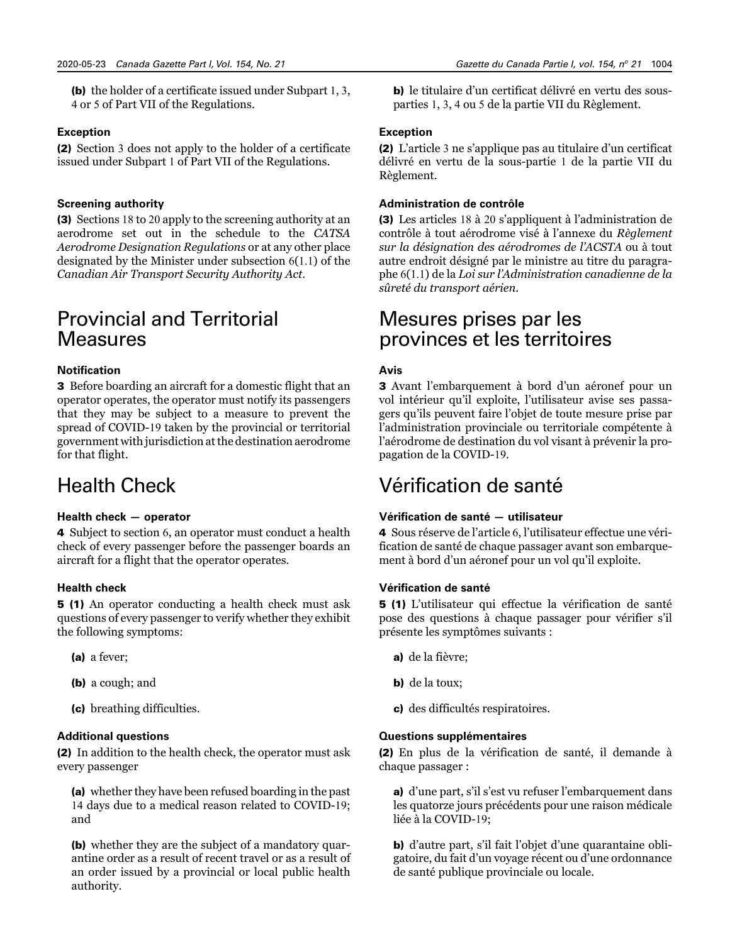(b) the holder of a certificate issued under Subpart 1, 3, 4 or 5 of Part VII of the Regulations.

### **Exception**

(2) Section 3 does not apply to the holder of a certificate issued under Subpart 1 of Part VII of the Regulations.

### **Screening authority**

(3) Sections 18 to 20 apply to the screening authority at an aerodrome set out in the schedule to the *CATSA Aerodrome Designation Regulations* or at any other place designated by the Minister under subsection 6(1.1) of the *Canadian Air Transport Security Authority Act*.

### Provincial and Territorial Measures

### **Notification**

3 Before boarding an aircraft for a domestic flight that an operator operates, the operator must notify its passengers that they may be subject to a measure to prevent the spread of COVID-19 taken by the provincial or territorial government with jurisdiction at the destination aerodrome for that flight.

### Health Check

### **Health check — operator**

4 Subject to section 6, an operator must conduct a health check of every passenger before the passenger boards an aircraft for a flight that the operator operates.

### **Health check**

5 (1) An operator conducting a health check must ask questions of every passenger to verify whether they exhibit the following symptoms:

- (a) a fever;
- (b) a cough; and
- (c) breathing difficulties.

### **Additional questions**

(2) In addition to the health check, the operator must ask every passenger

(a) whether they have been refused boarding in the past 14 days due to a medical reason related to COVID-19; and

(b) whether they are the subject of a mandatory quarantine order as a result of recent travel or as a result of an order issued by a provincial or local public health authority.

b) le titulaire d'un certificat délivré en vertu des sousparties 1, 3, 4 ou 5 de la partie VII du Règlement.

### **Exception**

(2) L'article 3 ne s'applique pas au titulaire d'un certificat délivré en vertu de la sous-partie 1 de la partie VII du Règlement.

### **Administration de contrôle**

(3) Les articles 18 à 20 s'appliquent à l'administration de contrôle à tout aérodrome visé à l'annexe du *Règlement sur la désignation des aérodromes de l'ACSTA* ou à tout autre endroit désigné par le ministre au titre du paragraphe 6(1.1) de la *Loi sur l'Administration canadienne de la sûreté du transport aérien*.

### Mesures prises par les provinces et les territoires

### **Avis**

3 Avant l'embarquement à bord d'un aéronef pour un vol intérieur qu'il exploite, l'utilisateur avise ses passagers qu'ils peuvent faire l'objet de toute mesure prise par l'administration provinciale ou territoriale compétente à l'aérodrome de destination du vol visant à prévenir la propagation de la COVID-19.

### Vérification de santé

### **Vérification de santé — utilisateur**

4 Sous réserve de l'article 6, l'utilisateur effectue une vérification de santé de chaque passager avant son embarquement à bord d'un aéronef pour un vol qu'il exploite.

### **Vérification de santé**

5 (1) L'utilisateur qui effectue la vérification de santé pose des questions à chaque passager pour vérifier s'il présente les symptômes suivants :

- a) de la fièvre;
- b) de la toux;
- c) des difficultés respiratoires.

### **Questions supplémentaires**

(2) En plus de la vérification de santé, il demande à chaque passager :

a) d'une part, s'il s'est vu refuser l'embarquement dans les quatorze jours précédents pour une raison médicale liée à la COVID-19;

b) d'autre part, s'il fait l'objet d'une quarantaine obligatoire, du fait d'un voyage récent ou d'une ordonnance de santé publique provinciale ou locale.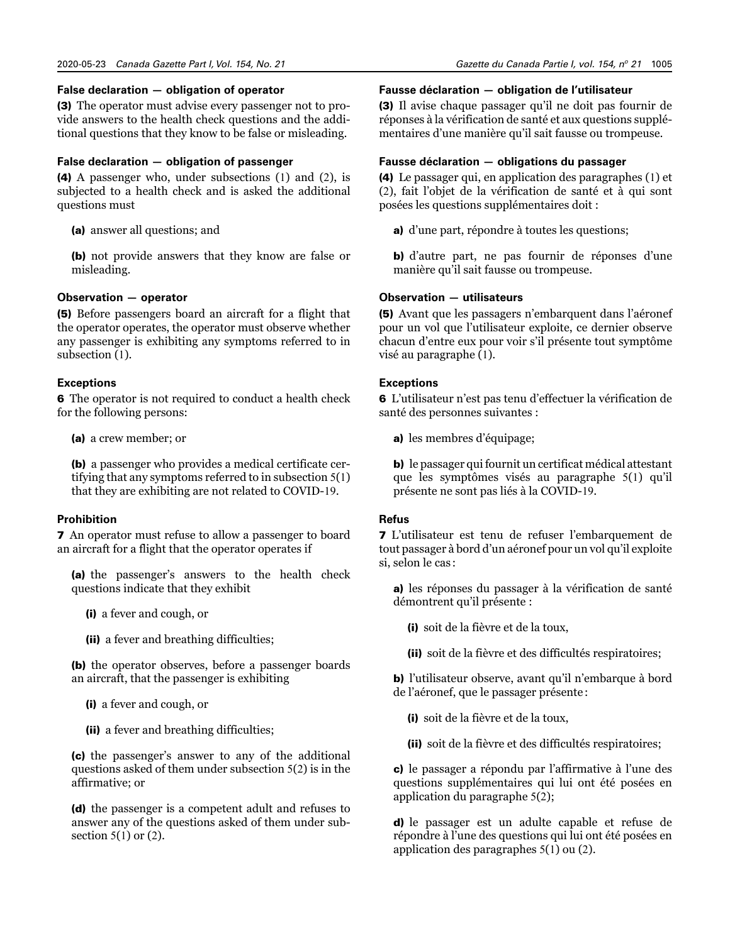### **False declaration — obligation of operator**

(3) The operator must advise every passenger not to provide answers to the health check questions and the additional questions that they know to be false or misleading.

### **False declaration — obligation of passenger**

(4) A passenger who, under subsections (1) and (2), is subjected to a health check and is asked the additional questions must

(a) answer all questions; and

(b) not provide answers that they know are false or misleading.

### **Observation — operator**

(5) Before passengers board an aircraft for a flight that the operator operates, the operator must observe whether any passenger is exhibiting any symptoms referred to in subsection  $(1)$ .

### **Exceptions**

6 The operator is not required to conduct a health check for the following persons:

(a) a crew member; or

(b) a passenger who provides a medical certificate certifying that any symptoms referred to in subsection 5(1) that they are exhibiting are not related to COVID-19.

### **Prohibition**

7 An operator must refuse to allow a passenger to board an aircraft for a flight that the operator operates if

(a) the passenger's answers to the health check questions indicate that they exhibit

(i) a fever and cough, or

(ii) a fever and breathing difficulties;

(b) the operator observes, before a passenger boards an aircraft, that the passenger is exhibiting

(i) a fever and cough, or

(ii) a fever and breathing difficulties;

(c) the passenger's answer to any of the additional questions asked of them under subsection 5(2) is in the affirmative; or

(d) the passenger is a competent adult and refuses to answer any of the questions asked of them under subsection 5(1) or (2).

### **Fausse déclaration — obligation de l'utilisateur**

(3) Il avise chaque passager qu'il ne doit pas fournir de réponses à la vérification de santé et aux questions supplémentaires d'une manière qu'il sait fausse ou trompeuse.

### **Fausse déclaration — obligations du passager**

(4) Le passager qui, en application des paragraphes (1) et (2), fait l'objet de la vérification de santé et à qui sont posées les questions supplémentaires doit :

a) d'une part, répondre à toutes les questions;

b) d'autre part, ne pas fournir de réponses d'une manière qu'il sait fausse ou trompeuse.

### **Observation — utilisateurs**

(5) Avant que les passagers n'embarquent dans l'aéronef pour un vol que l'utilisateur exploite, ce dernier observe chacun d'entre eux pour voir s'il présente tout symptôme visé au paragraphe (1).

### **Exceptions**

6 L'utilisateur n'est pas tenu d'effectuer la vérification de santé des personnes suivantes :

a) les membres d'équipage;

b) le passager qui fournit un certificat médical attestant que les symptômes visés au paragraphe 5(1) qu'il présente ne sont pas liés à la COVID-19.

### **Refus**

7 L'utilisateur est tenu de refuser l'embarquement de tout passager à bord d'un aéronef pour un vol qu'il exploite si, selon le cas :

a) les réponses du passager à la vérification de santé démontrent qu'il présente :

(i) soit de la fièvre et de la toux,

(ii) soit de la fièvre et des difficultés respiratoires;

b) l'utilisateur observe, avant qu'il n'embarque à bord de l'aéronef, que le passager présente :

(i) soit de la fièvre et de la toux,

(ii) soit de la fièvre et des difficultés respiratoires;

c) le passager a répondu par l'affirmative à l'une des questions supplémentaires qui lui ont été posées en application du paragraphe 5(2);

d) le passager est un adulte capable et refuse de répondre à l'une des questions qui lui ont été posées en application des paragraphes 5(1) ou (2).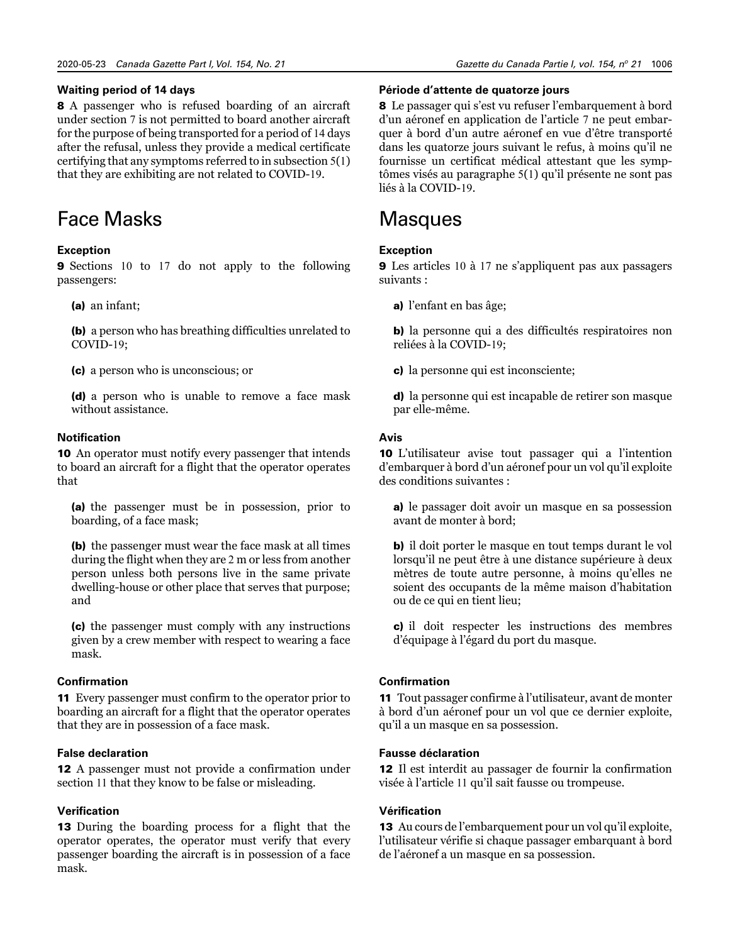### **Waiting period of 14 days**

8 A passenger who is refused boarding of an aircraft under section 7 is not permitted to board another aircraft for the purpose of being transported for a period of 14 days after the refusal, unless they provide a medical certificate certifying that any symptoms referred to in subsection 5(1) that they are exhibiting are not related to COVID-19.

### Face Masks

### **Exception**

9 Sections 10 to 17 do not apply to the following passengers:

(a) an infant;

(b) a person who has breathing difficulties unrelated to COVID-19;

(c) a person who is unconscious; or

(d) a person who is unable to remove a face mask without assistance.

### **Notification**

10 An operator must notify every passenger that intends to board an aircraft for a flight that the operator operates that

(a) the passenger must be in possession, prior to boarding, of a face mask;

(b) the passenger must wear the face mask at all times during the flight when they are 2 m or less from another person unless both persons live in the same private dwelling-house or other place that serves that purpose; and

(c) the passenger must comply with any instructions given by a crew member with respect to wearing a face mask.

### **Confirmation**

11 Every passenger must confirm to the operator prior to boarding an aircraft for a flight that the operator operates that they are in possession of a face mask.

### **False declaration**

12 A passenger must not provide a confirmation under section 11 that they know to be false or misleading.

### **Verification**

13 During the boarding process for a flight that the operator operates, the operator must verify that every passenger boarding the aircraft is in possession of a face mask.

### **Période d'attente de quatorze jours**

8 Le passager qui s'est vu refuser l'embarquement à bord d'un aéronef en application de l'article 7 ne peut embarquer à bord d'un autre aéronef en vue d'être transporté dans les quatorze jours suivant le refus, à moins qu'il ne fournisse un certificat médical attestant que les symptômes visés au paragraphe 5(1) qu'il présente ne sont pas liés à la COVID-19.

### **Masques**

### **Exception**

9 Les articles 10 à 17 ne s'appliquent pas aux passagers suivants :

a) l'enfant en bas âge;

b) la personne qui a des difficultés respiratoires non reliées à la COVID-19;

c) la personne qui est inconsciente;

d) la personne qui est incapable de retirer son masque par elle-même.

### **Avis**

10 L'utilisateur avise tout passager qui a l'intention d'embarquer à bord d'un aéronef pour un vol qu'il exploite des conditions suivantes :

a) le passager doit avoir un masque en sa possession avant de monter à bord;

b) il doit porter le masque en tout temps durant le vol lorsqu'il ne peut être à une distance supérieure à deux mètres de toute autre personne, à moins qu'elles ne soient des occupants de la même maison d'habitation ou de ce qui en tient lieu;

c) il doit respecter les instructions des membres d'équipage à l'égard du port du masque.

### **Confirmation**

11 Tout passager confirme à l'utilisateur, avant de monter à bord d'un aéronef pour un vol que ce dernier exploite, qu'il a un masque en sa possession.

### **Fausse déclaration**

12 Il est interdit au passager de fournir la confirmation visée à l'article 11 qu'il sait fausse ou trompeuse.

### **Vérification**

13 Au cours de l'embarquement pour un vol qu'il exploite, l'utilisateur vérifie si chaque passager embarquant à bord de l'aéronef a un masque en sa possession.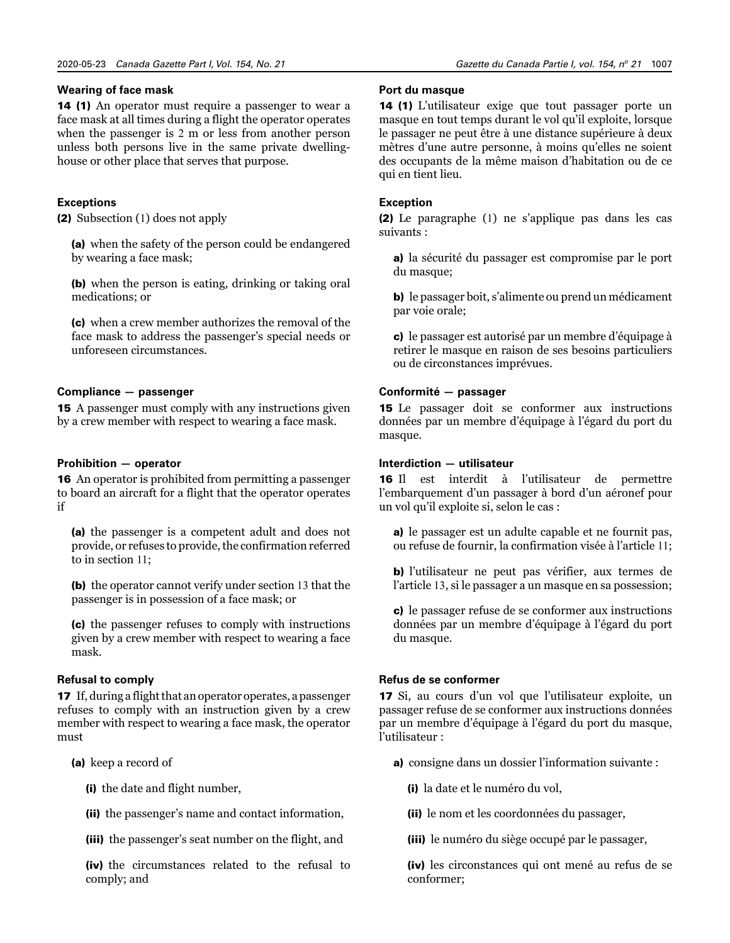### **Wearing of face mask**

14 (1) An operator must require a passenger to wear a face mask at all times during a flight the operator operates when the passenger is 2 m or less from another person unless both persons live in the same private dwellinghouse or other place that serves that purpose.

### **Exceptions**

(2) Subsection (1) does not apply

(a) when the safety of the person could be endangered by wearing a face mask;

(b) when the person is eating, drinking or taking oral medications; or

(c) when a crew member authorizes the removal of the face mask to address the passenger's special needs or unforeseen circumstances.

### **Compliance — passenger**

15 A passenger must comply with any instructions given by a crew member with respect to wearing a face mask.

### **Prohibition — operator**

16 An operator is prohibited from permitting a passenger to board an aircraft for a flight that the operator operates if

(a) the passenger is a competent adult and does not provide, or refuses to provide, the confirmation referred to in section 11;

(b) the operator cannot verify under section 13 that the passenger is in possession of a face mask; or

(c) the passenger refuses to comply with instructions given by a crew member with respect to wearing a face mask.

### **Refusal to comply**

17 If, during a flight that an operator operates, a passenger refuses to comply with an instruction given by a crew member with respect to wearing a face mask, the operator must

- (a) keep a record of
	- (i) the date and flight number,
	- (ii) the passenger's name and contact information,
	- (iii) the passenger's seat number on the flight, and

(iv) the circumstances related to the refusal to comply; and

### **Port du masque**

14 (1) L'utilisateur exige que tout passager porte un masque en tout temps durant le vol qu'il exploite, lorsque le passager ne peut être à une distance supérieure à deux mètres d'une autre personne, à moins qu'elles ne soient des occupants de la même maison d'habitation ou de ce qui en tient lieu.

### **Exception**

(2) Le paragraphe (1) ne s'applique pas dans les cas suivants :

a) la sécurité du passager est compromise par le port du masque;

b) le passager boit, s'alimente ou prend un médicament par voie orale;

c) le passager est autorisé par un membre d'équipage à retirer le masque en raison de ses besoins particuliers ou de circonstances imprévues.

### **Conformité — passager**

15 Le passager doit se conformer aux instructions données par un membre d'équipage à l'égard du port du masque.

### **Interdiction — utilisateur**

16 Il est interdit à l'utilisateur de permettre l'embarquement d'un passager à bord d'un aéronef pour un vol qu'il exploite si, selon le cas :

a) le passager est un adulte capable et ne fournit pas, ou refuse de fournir, la confirmation visée à l'article 11;

b) l'utilisateur ne peut pas vérifier, aux termes de l'article 13, si le passager a un masque en sa possession;

c) le passager refuse de se conformer aux instructions données par un membre d'équipage à l'égard du port du masque.

### **Refus de se conformer**

17 Si, au cours d'un vol que l'utilisateur exploite, un passager refuse de se conformer aux instructions données par un membre d'équipage à l'égard du port du masque, l'utilisateur :

a) consigne dans un dossier l'information suivante :

- (i) la date et le numéro du vol,
- (ii) le nom et les coordonnées du passager,
- (iii) le numéro du siège occupé par le passager,
- (iv) les circonstances qui ont mené au refus de se conformer;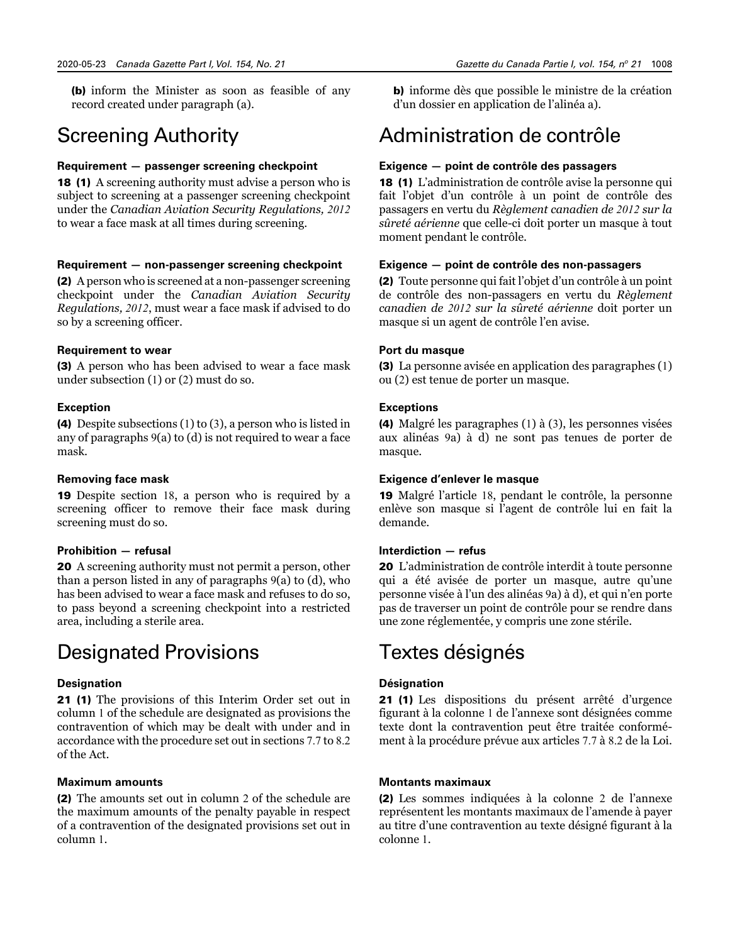(b) inform the Minister as soon as feasible of any record created under paragraph (a).

### Screening Authority

#### **Requirement — passenger screening checkpoint**

18 (1) A screening authority must advise a person who is subject to screening at a passenger screening checkpoint under the *Canadian Aviation Security Regulations, 2012* to wear a face mask at all times during screening.

#### **Requirement — non-passenger screening checkpoint**

(2) A person who is screened at a non-passenger screening checkpoint under the *Canadian Aviation Security Regulations, 2012*, must wear a face mask if advised to do so by a screening officer.

#### **Requirement to wear**

(3) A person who has been advised to wear a face mask under subsection (1) or (2) must do so.

#### **Exception**

(4) Despite subsections (1) to (3), a person who is listed in any of paragraphs 9(a) to (d) is not required to wear a face mask.

#### **Removing face mask**

19 Despite section 18, a person who is required by a screening officer to remove their face mask during screening must do so.

### **Prohibition — refusal**

20 A screening authority must not permit a person, other than a person listed in any of paragraphs 9(a) to (d), who has been advised to wear a face mask and refuses to do so, to pass beyond a screening checkpoint into a restricted area, including a sterile area.

### Designated Provisions

#### **Designation**

21 (1) The provisions of this Interim Order set out in column 1 of the schedule are designated as provisions the contravention of which may be dealt with under and in accordance with the procedure set out in sections 7.7 to 8.2 of the Act.

#### **Maximum amounts**

(2) The amounts set out in column 2 of the schedule are the maximum amounts of the penalty payable in respect of a contravention of the designated provisions set out in column 1.

b) informe dès que possible le ministre de la création d'un dossier en application de l'alinéa a).

### Administration de contrôle

#### **Exigence — point de contrôle des passagers**

18 (1) L'administration de contrôle avise la personne qui fait l'objet d'un contrôle à un point de contrôle des passagers en vertu du *Règlement canadien de 2012 sur la sûreté aérienne* que celle-ci doit porter un masque à tout moment pendant le contrôle.

### **Exigence — point de contrôle des non-passagers**

(2) Toute personne qui fait l'objet d'un contrôle à un point de contrôle des non-passagers en vertu du *Règlement canadien de 2012 sur la sûreté aérienne* doit porter un masque si un agent de contrôle l'en avise.

#### **Port du masque**

(3) La personne avisée en application des paragraphes (1) ou (2) est tenue de porter un masque.

#### **Exceptions**

(4) Malgré les paragraphes (1) à (3), les personnes visées aux alinéas 9a) à d) ne sont pas tenues de porter de masque.

#### **Exigence d'enlever le masque**

19 Malgré l'article 18, pendant le contrôle, la personne enlève son masque si l'agent de contrôle lui en fait la demande.

### **Interdiction — refus**

20 L'administration de contrôle interdit à toute personne qui a été avisée de porter un masque, autre qu'une personne visée à l'un des alinéas 9a) à d), et qui n'en porte pas de traverser un point de contrôle pour se rendre dans une zone réglementée, y compris une zone stérile.

### Textes désignés

#### **Désignation**

21 (1) Les dispositions du présent arrêté d'urgence figurant à la colonne 1 de l'annexe sont désignées comme texte dont la contravention peut être traitée conformément à la procédure prévue aux articles 7.7 à 8.2 de la Loi.

#### **Montants maximaux**

(2) Les sommes indiquées à la colonne 2 de l'annexe représentent les montants maximaux de l'amende à payer au titre d'une contravention au texte désigné figurant à la colonne 1.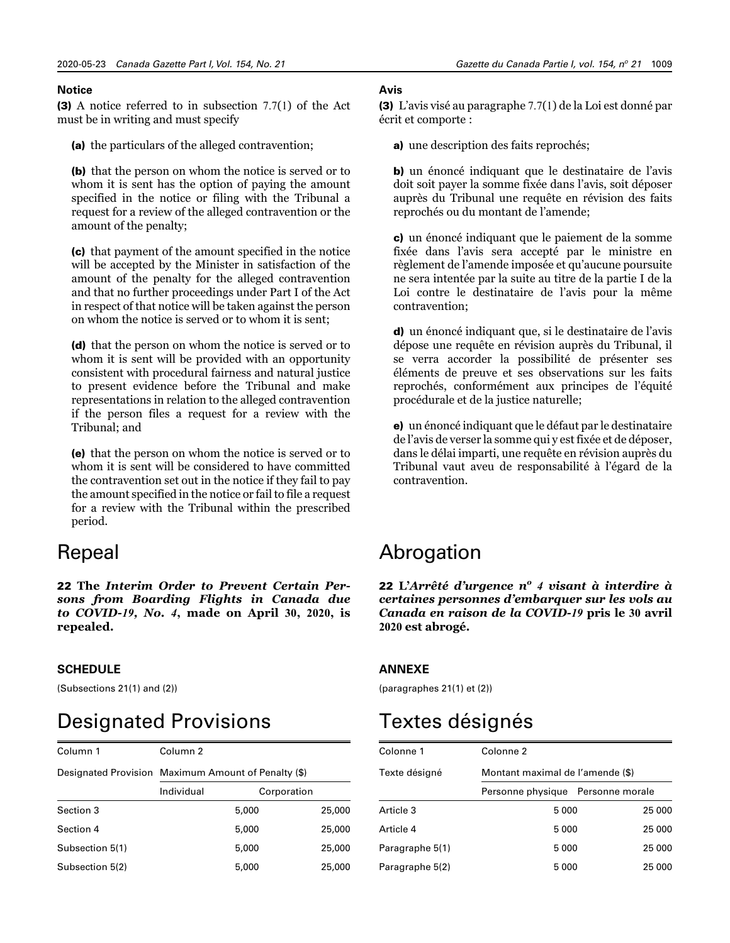#### *21* 1009

### **Notice**

(3) A notice referred to in subsection 7.7(1) of the Act must be in writing and must specify

(a) the particulars of the alleged contravention;

(b) that the person on whom the notice is served or to whom it is sent has the option of paying the amount specified in the notice or filing with the Tribunal a request for a review of the alleged contravention or the amount of the penalty;

(c) that payment of the amount specified in the notice will be accepted by the Minister in satisfaction of the amount of the penalty for the alleged contravention and that no further proceedings under Part I of the Act in respect of that notice will be taken against the person on whom the notice is served or to whom it is sent;

(d) that the person on whom the notice is served or to whom it is sent will be provided with an opportunity consistent with procedural fairness and natural justice to present evidence before the Tribunal and make representations in relation to the alleged contravention if the person files a request for a review with the Tribunal; and

(e) that the person on whom the notice is served or to whom it is sent will be considered to have committed the contravention set out in the notice if they fail to pay the amount specified in the notice or fail to file a request for a review with the Tribunal within the prescribed period.

### Repeal

22 **The** *Interim Order to Prevent Certain Persons from Boarding Flights in Canada due to COVID-19, No. 4***, made on April 30, 2020, is repealed.**

### **SCHEDULE**

(Subsections 21(1) and (2))

### Designated Provisions

| Column <sub>1</sub> | Column <sub>2</sub>                                 |             |        |
|---------------------|-----------------------------------------------------|-------------|--------|
|                     | Designated Provision Maximum Amount of Penalty (\$) |             |        |
|                     | Individual                                          | Corporation |        |
| Section 3           |                                                     | 5,000       | 25,000 |
| Section 4           |                                                     | 5,000       | 25,000 |
| Subsection 5(1)     |                                                     | 5,000       | 25,000 |
| Subsection 5(2)     |                                                     | 5,000       | 25,000 |

### **Avis**

(3) L'avis visé au paragraphe 7.7(1) de la Loi est donné par écrit et comporte :

a) une description des faits reprochés;

b) un énoncé indiquant que le destinataire de l'avis doit soit payer la somme fixée dans l'avis, soit déposer auprès du Tribunal une requête en révision des faits reprochés ou du montant de l'amende;

c) un énoncé indiquant que le paiement de la somme fixée dans l'avis sera accepté par le ministre en règlement de l'amende imposée et qu'aucune poursuite ne sera intentée par la suite au titre de la partie I de la Loi contre le destinataire de l'avis pour la même contravention;

d) un énoncé indiquant que, si le destinataire de l'avis dépose une requête en révision auprès du Tribunal, il se verra accorder la possibilité de présenter ses éléments de preuve et ses observations sur les faits reprochés, conformément aux principes de l'équité procédurale et de la justice naturelle;

e) un énoncé indiquant que le défaut par le destinataire de l'avis de verser la somme qui y est fixée et de déposer, dans le délai imparti, une requête en révision auprès du Tribunal vaut aveu de responsabilité à l'égard de la contravention.

### Abrogation

22 **L'***Arrêté d'urgence n<sup>o</sup> 4 visant à interdire à certaines personnes d'embarquer sur les vols au Canada en raison de la COVID-19* **pris le 30 avril 2020 est abrogé.**

### **ANNEXE**

(paragraphes 21(1) et (2))

### Textes désignés

| Colonne 1       | Colonne 2                         |        |  |  |
|-----------------|-----------------------------------|--------|--|--|
| Texte désigné   | Montant maximal de l'amende (\$)  |        |  |  |
|                 | Personne physique Personne morale |        |  |  |
| Article 3       | 5000                              | 25 000 |  |  |
| Article 4       | 5000                              | 25 000 |  |  |
| Paragraphe 5(1) | 5000                              | 25 000 |  |  |
| Paragraphe 5(2) | 5000                              | 25 000 |  |  |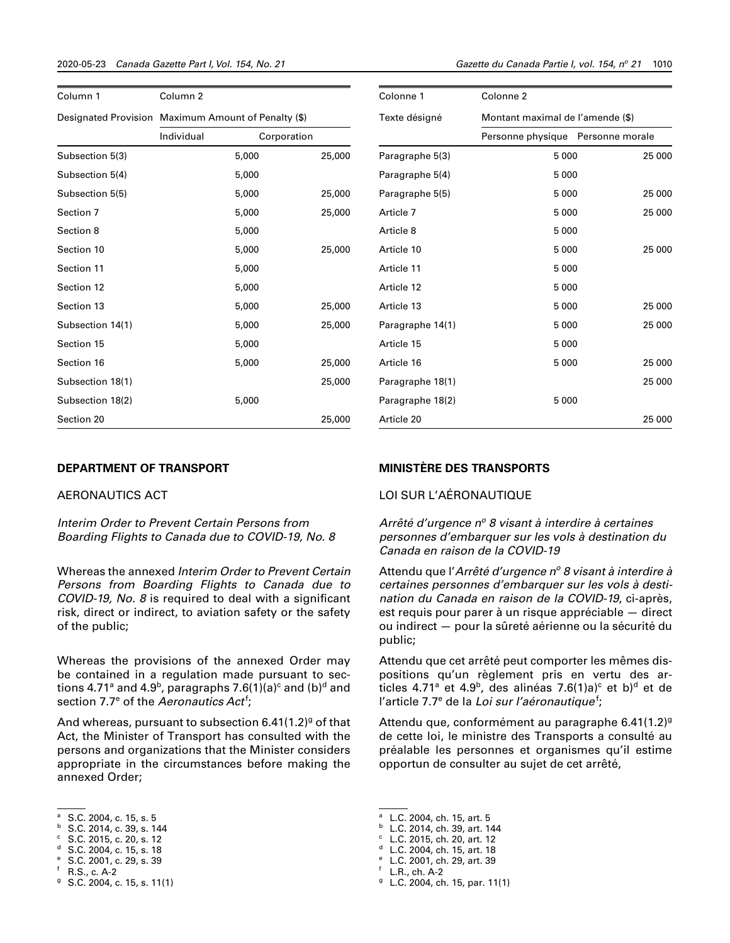| Column 1         | Column <sub>2</sub>                                 |             |        |
|------------------|-----------------------------------------------------|-------------|--------|
|                  | Designated Provision Maximum Amount of Penalty (\$) |             |        |
|                  | Individual                                          | Corporation |        |
| Subsection 5(3)  |                                                     | 5,000       | 25,000 |
| Subsection 5(4)  |                                                     | 5,000       |        |
| Subsection 5(5)  |                                                     | 5,000       | 25,000 |
| Section 7        |                                                     | 5,000       | 25,000 |
| Section 8        |                                                     | 5,000       |        |
| Section 10       |                                                     | 5,000       | 25,000 |
| Section 11       |                                                     | 5,000       |        |
| Section 12       |                                                     | 5,000       |        |
| Section 13       |                                                     | 5,000       | 25,000 |
| Subsection 14(1) |                                                     | 5,000       | 25,000 |
| Section 15       |                                                     | 5,000       |        |
| Section 16       |                                                     | 5,000       | 25,000 |
| Subsection 18(1) |                                                     |             | 25,000 |
| Subsection 18(2) |                                                     | 5,000       |        |
| Section 20       |                                                     |             | 25,000 |

### **DEPARTMENT OF TRANSPORT**

#### AERONAUTICS ACT

*Interim Order to Prevent Certain Persons from Boarding Flights to Canada due to COVID-19, No. 8*

Whereas the annexed *Interim Order to Prevent Certain Persons from Boarding Flights to Canada due to COVID-19, No. 8* is required to deal with a significant risk, direct or indirect, to aviation safety or the safety of the public;

Whereas the provisions of the annexed Order may be contained in a regulation made pursuant to sections 4.71ª and 4.9<sup>b</sup>, paragraphs 7.6(1)(a) $^{\rm c}$  and (b) $^{\rm d}$  and section 7.7<sup>e</sup> of the *Aeronautics Act<sup>f</sup>;* 

And whereas, pursuant to subsection 6.41(1.2)<sup>g</sup> of that Act, the Minister of Transport has consulted with the persons and organizations that the Minister considers appropriate in the circumstances before making the annexed Order;

- $C.$  S.C. 2015, c. 20, s. 12
- <sup>d</sup> S.C. 2004, c. 15, s. 18 <sup>e</sup> S.C. 2001, c. 29, s. 39
- <sup>f</sup> R.S., c. A-2
- 
- <sup>9</sup> S.C. 2004, c. 15, s. 11(1)

| Colonne 1        | Colonne <sub>2</sub>              |        |
|------------------|-----------------------------------|--------|
| Texte désigné    | Montant maximal de l'amende (\$)  |        |
|                  | Personne physique Personne morale |        |
| Paragraphe 5(3)  | 5 0 0 0                           | 25 000 |
| Paragraphe 5(4)  | 5 0 0 0                           |        |
| Paragraphe 5(5)  | 5 0 0 0                           | 25 000 |
| Article 7        | 5 0 0 0                           | 25 000 |
| Article 8        | 5 0 0 0                           |        |
| Article 10       | 5 0 0 0                           | 25 000 |
| Article 11       | 5 0 0 0                           |        |
| Article 12       | 5 0 0 0                           |        |
| Article 13       | 5 0 0 0                           | 25 000 |
| Paragraphe 14(1) | 5 0 0 0                           | 25 000 |
| Article 15       | 5 0 0 0                           |        |
| Article 16       | 5 0 0 0                           | 25 000 |
| Paragraphe 18(1) |                                   | 25 000 |
| Paragraphe 18(2) | 5 0 0 0                           |        |
| Article 20       |                                   | 25 000 |

### **MINISTÈRE DES TRANSPORTS**

#### LOI SUR L'AÉRONAUTIQUE

Arrêté d'urgence nº 8 visant à interdire à certaines *personnes d'embarquer sur les vols à destination du Canada en raison de la COVID-19*

Attendu que l'*Arrêté d'urgence nº 8 visant à interdire à certaines personnes d'embarquer sur les vols à destination du Canada en raison de la COVID-19*, ci-après, est requis pour parer à un risque appréciable — direct ou indirect — pour la sûreté aérienne ou la sécurité du public;

Attendu que cet arrêté peut comporter les mêmes dispositions qu'un règlement pris en vertu des articles 4.71ª et 4.9<sup>b</sup>, des alinéas 7.6(1)a)<sup>c</sup> et b)<sup>d</sup> et de l'article 7.7<sup>e</sup> de la *Loi sur l'aéronautique<sup>f</sup>;* 

Attendu que, conformément au paragraphe 6.41 $(1.2)^{9}$ de cette loi, le ministre des Transports a consulté au préalable les personnes et organismes qu'il estime opportun de consulter au sujet de cet arrêté,

- <sup>a</sup> L.C. 2004, ch. 15, art. 5
- <sup>b</sup> L.C. 2014, ch. 39, art. 144
- $C.$  L.C. 2015, ch. 20, art. 12
- <sup>d</sup> L.C. 2004, ch. 15, art. 18 <sup>e</sup> L.C. 2001, ch. 29, art. 39

<sup>a</sup> S.C. 2004, c. 15, s. 5

<sup>b</sup> S.C. 2014, c. 39, s. 144

<sup>f</sup> L.R., ch. A-2

<sup>g</sup> L.C. 2004, ch. 15, par. 11(1)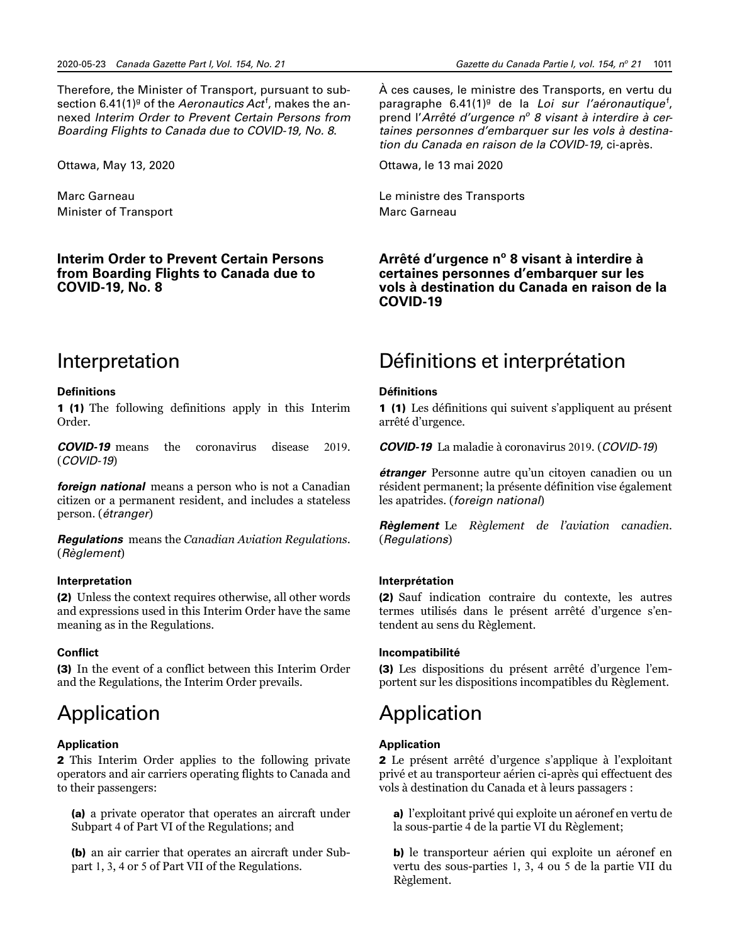Therefore, the Minister of Transport, pursuant to subsection 6.41(1)<sup>g</sup> of the *Aeronautics Act<sup>f</sup>,* makes the annexed *Interim Order to Prevent Certain Persons from Boarding Flights to Canada due to COVID-19, No. 8*.

Ottawa, May 13, 2020

Marc Garneau Minister of Transport

### **Interim Order to Prevent Certain Persons from Boarding Flights to Canada due to COVID-19, No. 8**

### Interpretation

### **Definitions**

1 (1) The following definitions apply in this Interim Order.

*COVID-19* means the coronavirus disease 2019. (*COVID-19*)

*foreign national* means a person who is not a Canadian citizen or a permanent resident, and includes a stateless person. (*étranger*)

*Regulations* means the *Canadian Aviation Regulations*. (*Règlement*)

### **Interpretation**

(2) Unless the context requires otherwise, all other words and expressions used in this Interim Order have the same meaning as in the Regulations.

### **Conflict**

(3) In the event of a conflict between this Interim Order and the Regulations, the Interim Order prevails.

### Application

### **Application**

2 This Interim Order applies to the following private operators and air carriers operating flights to Canada and to their passengers:

(a) a private operator that operates an aircraft under Subpart 4 of Part VI of the Regulations; and

(b) an air carrier that operates an aircraft under Subpart 1, 3, 4 or 5 of Part VII of the Regulations.

À ces causes, le ministre des Transports, en vertu du paragraphe 6.41(1)<sup>g</sup> de la *Loi sur l'aéronautique<sup>f</sup>,* prend l'*Arrêté d'urgence n<sup>o</sup> 8 visant à interdire à certaines personnes d'embarquer sur les vols à destination du Canada en raison de la COVID-19*, ci-après.

Ottawa, le 13 mai 2020

Le ministre des Transports Marc Garneau

Arrêté d'urgence n° 8 visant à interdire à **certaines personnes d'embarquer sur les vols à destination du Canada en raison de la COVID-19**

### Définitions et interprétation

### **Définitions**

1 (1) Les définitions qui suivent s'appliquent au présent arrêté d'urgence.

*COVID-19* La maladie à coronavirus 2019. (*COVID-19*)

*étranger* Personne autre qu'un citoyen canadien ou un résident permanent; la présente définition vise également les apatrides. (*foreign national*)

*Règlement* Le *Règlement de l'aviation canadien*. (*Regulations*)

### **Interprétation**

(2) Sauf indication contraire du contexte, les autres termes utilisés dans le présent arrêté d'urgence s'entendent au sens du Règlement.

### **Incompatibilité**

(3) Les dispositions du présent arrêté d'urgence l'emportent sur les dispositions incompatibles du Règlement.

### Application

### **Application**

2 Le présent arrêté d'urgence s'applique à l'exploitant privé et au transporteur aérien ci-après qui effectuent des vols à destination du Canada et à leurs passagers :

a) l'exploitant privé qui exploite un aéronef en vertu de la sous-partie 4 de la partie VI du Règlement;

b) le transporteur aérien qui exploite un aéronef en vertu des sous-parties 1, 3, 4 ou 5 de la partie VII du Règlement.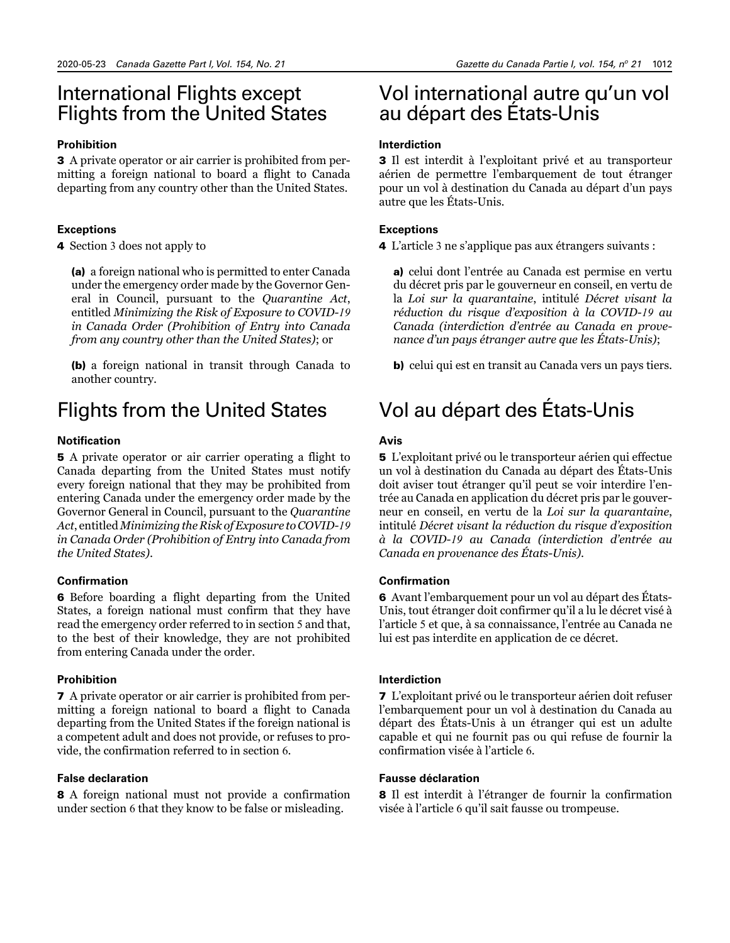### International Flights except Flights from the United States

### **Prohibition**

3 A private operator or air carrier is prohibited from permitting a foreign national to board a flight to Canada departing from any country other than the United States.

### **Exceptions**

4 Section 3 does not apply to

(a) a foreign national who is permitted to enter Canada under the emergency order made by the Governor General in Council, pursuant to the *Quarantine Act*, entitled *Minimizing the Risk of Exposure to COVID-19 in Canada Order (Prohibition of Entry into Canada from any country other than the United States)*; or

(b) a foreign national in transit through Canada to another country.

### Flights from the United States

### **Notification**

5 A private operator or air carrier operating a flight to Canada departing from the United States must notify every foreign national that they may be prohibited from entering Canada under the emergency order made by the Governor General in Council, pursuant to the *Quarantine Act*, entitled *Minimizing the Risk of Exposure to COVID-19 in Canada Order (Prohibition of Entry into Canada from the United States)*.

### **Confirmation**

6 Before boarding a flight departing from the United States, a foreign national must confirm that they have read the emergency order referred to in section 5 and that, to the best of their knowledge, they are not prohibited from entering Canada under the order.

### **Prohibition**

7 A private operator or air carrier is prohibited from permitting a foreign national to board a flight to Canada departing from the United States if the foreign national is a competent adult and does not provide, or refuses to provide, the confirmation referred to in section 6.

### **False declaration**

8 A foreign national must not provide a confirmation under section 6 that they know to be false or misleading.

### Vol international autre qu'un vol au départ des États-Unis

### **Interdiction**

3 Il est interdit à l'exploitant privé et au transporteur aérien de permettre l'embarquement de tout étranger pour un vol à destination du Canada au départ d'un pays autre que les États-Unis.

### **Exceptions**

4 L'article 3 ne s'applique pas aux étrangers suivants :

a) celui dont l'entrée au Canada est permise en vertu du décret pris par le gouverneur en conseil, en vertu de la *Loi sur la quarantaine*, intitulé *Décret visant la réduction du risque d'exposition à la COVID-19 au Canada (interdiction d'entrée au Canada en provenance d'un pays étranger autre que les États-Unis)*;

b) celui qui est en transit au Canada vers un pays tiers.

### Vol au départ des États-Unis

### **Avis**

5 L'exploitant privé ou le transporteur aérien qui effectue un vol à destination du Canada au départ des États-Unis doit aviser tout étranger qu'il peut se voir interdire l'entrée au Canada en application du décret pris par le gouverneur en conseil, en vertu de la *Loi sur la quarantaine*, intitulé *Décret visant la réduction du risque d'exposition à la COVID-19 au Canada (interdiction d'entrée au Canada en provenance des États-Unis)*.

### **Confirmation**

6 Avant l'embarquement pour un vol au départ des États-Unis, tout étranger doit confirmer qu'il a lu le décret visé à l'article 5 et que, à sa connaissance, l'entrée au Canada ne lui est pas interdite en application de ce décret.

### **Interdiction**

7 L'exploitant privé ou le transporteur aérien doit refuser l'embarquement pour un vol à destination du Canada au départ des États-Unis à un étranger qui est un adulte capable et qui ne fournit pas ou qui refuse de fournir la confirmation visée à l'article 6.

### **Fausse déclaration**

8 Il est interdit à l'étranger de fournir la confirmation visée à l'article 6 qu'il sait fausse ou trompeuse.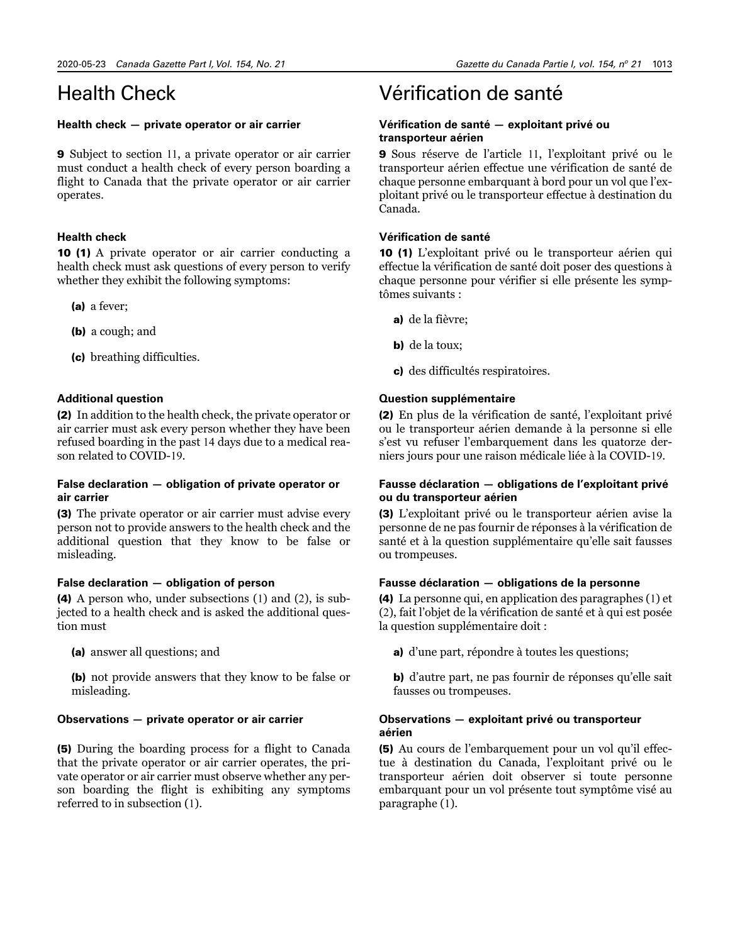### Health Check

#### **Health check — private operator or air carrier**

9 Subject to section 11, a private operator or air carrier must conduct a health check of every person boarding a flight to Canada that the private operator or air carrier operates.

### **Health check**

10 (1) A private operator or air carrier conducting a health check must ask questions of every person to verify whether they exhibit the following symptoms:

- (a) a fever;
- (b) a cough; and
- (c) breathing difficulties.

### **Additional question**

(2) In addition to the health check, the private operator or air carrier must ask every person whether they have been refused boarding in the past 14 days due to a medical reason related to COVID-19.

### **False declaration — obligation of private operator or air carrier**

(3) The private operator or air carrier must advise every person not to provide answers to the health check and the additional question that they know to be false or misleading.

#### **False declaration — obligation of person**

(4) A person who, under subsections (1) and (2), is subjected to a health check and is asked the additional question must

(a) answer all questions; and

(b) not provide answers that they know to be false or misleading.

#### **Observations — private operator or air carrier**

(5) During the boarding process for a flight to Canada that the private operator or air carrier operates, the private operator or air carrier must observe whether any person boarding the flight is exhibiting any symptoms referred to in subsection (1).

### Vérification de santé

### **Vérification de santé — exploitant privé ou transporteur aérien**

9 Sous réserve de l'article 11, l'exploitant privé ou le transporteur aérien effectue une vérification de santé de chaque personne embarquant à bord pour un vol que l'exploitant privé ou le transporteur effectue à destination du Canada.

### **Vérification de santé**

10 (1) L'exploitant privé ou le transporteur aérien qui effectue la vérification de santé doit poser des questions à chaque personne pour vérifier si elle présente les symptômes suivants :

- a) de la fièvre;
- b) de la toux;
- c) des difficultés respiratoires.

### **Question supplémentaire**

(2) En plus de la vérification de santé, l'exploitant privé ou le transporteur aérien demande à la personne si elle s'est vu refuser l'embarquement dans les quatorze derniers jours pour une raison médicale liée à la COVID-19.

### **Fausse déclaration — obligations de l'exploitant privé ou du transporteur aérien**

(3) L'exploitant privé ou le transporteur aérien avise la personne de ne pas fournir de réponses à la vérification de santé et à la question supplémentaire qu'elle sait fausses ou trompeuses.

#### **Fausse déclaration — obligations de la personne**

(4) La personne qui, en application des paragraphes (1) et (2), fait l'objet de la vérification de santé et à qui est posée la question supplémentaire doit :

a) d'une part, répondre à toutes les questions;

b) d'autre part, ne pas fournir de réponses qu'elle sait fausses ou trompeuses.

### **Observations — exploitant privé ou transporteur aérien**

(5) Au cours de l'embarquement pour un vol qu'il effectue à destination du Canada, l'exploitant privé ou le transporteur aérien doit observer si toute personne embarquant pour un vol présente tout symptôme visé au paragraphe (1).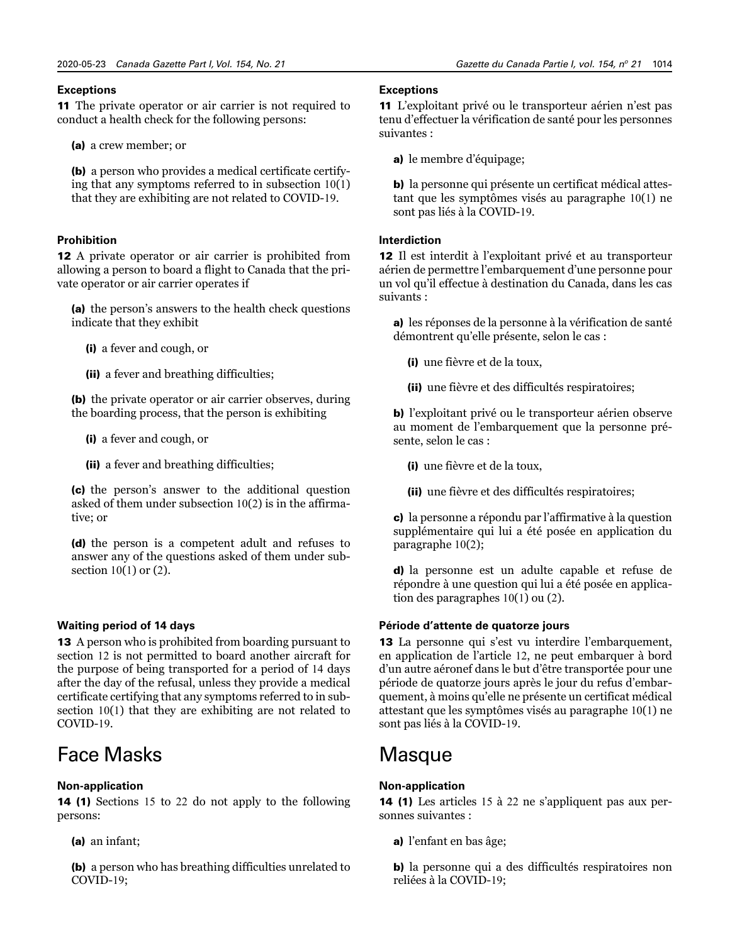### **Exceptions**

11 The private operator or air carrier is not required to conduct a health check for the following persons:

(a) a crew member; or

(b) a person who provides a medical certificate certifying that any symptoms referred to in subsection 10(1) that they are exhibiting are not related to COVID-19.

### **Prohibition**

12 A private operator or air carrier is prohibited from allowing a person to board a flight to Canada that the private operator or air carrier operates if

(a) the person's answers to the health check questions indicate that they exhibit

(i) a fever and cough, or

(ii) a fever and breathing difficulties;

(b) the private operator or air carrier observes, during the boarding process, that the person is exhibiting

(i) a fever and cough, or

(ii) a fever and breathing difficulties;

(c) the person's answer to the additional question asked of them under subsection 10(2) is in the affirmative; or

(d) the person is a competent adult and refuses to answer any of the questions asked of them under subsection 10(1) or (2).

### **Waiting period of 14 days**

13 A person who is prohibited from boarding pursuant to section 12 is not permitted to board another aircraft for the purpose of being transported for a period of 14 days after the day of the refusal, unless they provide a medical certificate certifying that any symptoms referred to in subsection 10(1) that they are exhibiting are not related to COVID-19.

### Face Masks

### **Non-application**

14 (1) Sections 15 to 22 do not apply to the following persons:

(a) an infant;

(b) a person who has breathing difficulties unrelated to COVID-19;

### **Exceptions**

11 L'exploitant privé ou le transporteur aérien n'est pas tenu d'effectuer la vérification de santé pour les personnes suivantes :

a) le membre d'équipage;

b) la personne qui présente un certificat médical attestant que les symptômes visés au paragraphe 10(1) ne sont pas liés à la COVID-19.

### **Interdiction**

12 Il est interdit à l'exploitant privé et au transporteur aérien de permettre l'embarquement d'une personne pour un vol qu'il effectue à destination du Canada, dans les cas suivants :

a) les réponses de la personne à la vérification de santé démontrent qu'elle présente, selon le cas :

(i) une fièvre et de la toux,

(ii) une fièvre et des difficultés respiratoires;

b) l'exploitant privé ou le transporteur aérien observe au moment de l'embarquement que la personne présente, selon le cas :

(i) une fièvre et de la toux,

(ii) une fièvre et des difficultés respiratoires;

c) la personne a répondu par l'affirmative à la question supplémentaire qui lui a été posée en application du paragraphe 10(2);

d) la personne est un adulte capable et refuse de répondre à une question qui lui a été posée en application des paragraphes 10(1) ou (2).

### **Période d'attente de quatorze jours**

13 La personne qui s'est vu interdire l'embarquement, en application de l'article 12, ne peut embarquer à bord d'un autre aéronef dans le but d'être transportée pour une période de quatorze jours après le jour du refus d'embarquement, à moins qu'elle ne présente un certificat médical attestant que les symptômes visés au paragraphe 10(1) ne sont pas liés à la COVID-19.

### **Masque**

### **Non-application**

14 (1) Les articles 15 à 22 ne s'appliquent pas aux personnes suivantes :

a) l'enfant en bas âge;

b) la personne qui a des difficultés respiratoires non reliées à la COVID-19;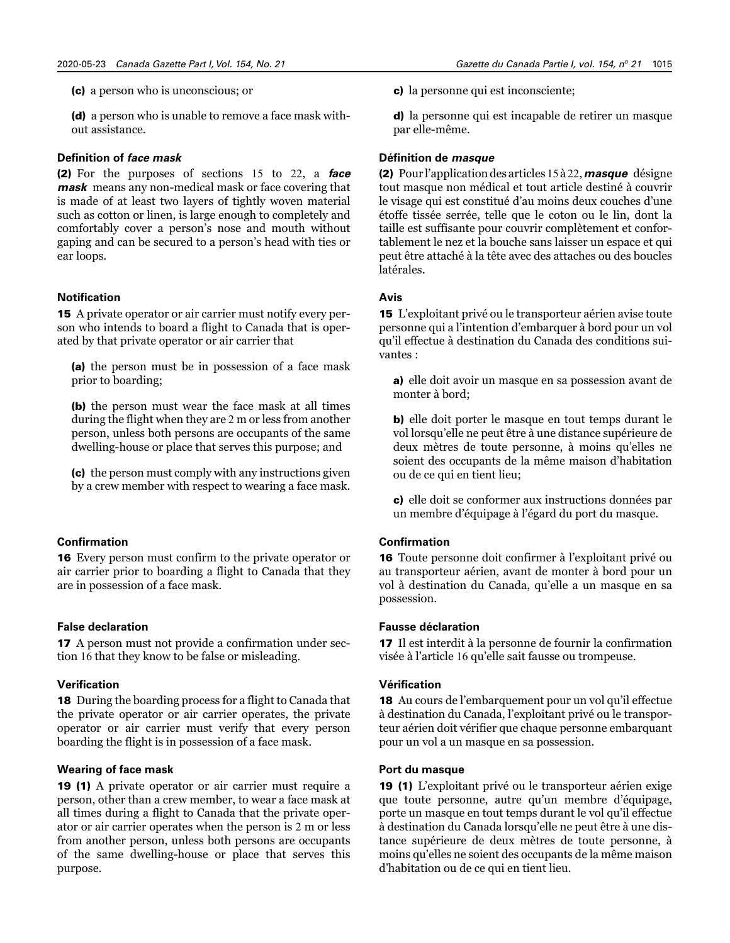(c) a person who is unconscious; or

(d) a person who is unable to remove a face mask without assistance.

### **Definition of** *face mask*

(2) For the purposes of sections 15 to 22, a *face mask* means any non-medical mask or face covering that is made of at least two layers of tightly woven material such as cotton or linen, is large enough to completely and comfortably cover a person's nose and mouth without gaping and can be secured to a person's head with ties or ear loops.

### **Notification**

15 A private operator or air carrier must notify every person who intends to board a flight to Canada that is operated by that private operator or air carrier that

(a) the person must be in possession of a face mask prior to boarding;

(b) the person must wear the face mask at all times during the flight when they are 2 m or less from another person, unless both persons are occupants of the same dwelling-house or place that serves this purpose; and

(c) the person must comply with any instructions given by a crew member with respect to wearing a face mask.

### **Confirmation**

16 Every person must confirm to the private operator or air carrier prior to boarding a flight to Canada that they are in possession of a face mask.

### **False declaration**

17 A person must not provide a confirmation under section 16 that they know to be false or misleading.

### **Verification**

18 During the boarding process for a flight to Canada that the private operator or air carrier operates, the private operator or air carrier must verify that every person boarding the flight is in possession of a face mask.

#### **Wearing of face mask**

19 (1) A private operator or air carrier must require a person, other than a crew member, to wear a face mask at all times during a flight to Canada that the private operator or air carrier operates when the person is 2 m or less from another person, unless both persons are occupants of the same dwelling-house or place that serves this purpose.

c) la personne qui est inconsciente;

d) la personne qui est incapable de retirer un masque par elle-même.

### **Définition de** *masque*

(2) Pour l'application des articles 15 à 22, *masque* désigne tout masque non médical et tout article destiné à couvrir le visage qui est constitué d'au moins deux couches d'une étoffe tissée serrée, telle que le coton ou le lin, dont la taille est suffisante pour couvrir complètement et confortablement le nez et la bouche sans laisser un espace et qui peut être attaché à la tête avec des attaches ou des boucles latérales.

### **Avis**

15 L'exploitant privé ou le transporteur aérien avise toute personne qui a l'intention d'embarquer à bord pour un vol qu'il effectue à destination du Canada des conditions suivantes :

a) elle doit avoir un masque en sa possession avant de monter à bord;

b) elle doit porter le masque en tout temps durant le vol lorsqu'elle ne peut être à une distance supérieure de deux mètres de toute personne, à moins qu'elles ne soient des occupants de la même maison d'habitation ou de ce qui en tient lieu;

c) elle doit se conformer aux instructions données par un membre d'équipage à l'égard du port du masque.

### **Confirmation**

16 Toute personne doit confirmer à l'exploitant privé ou au transporteur aérien, avant de monter à bord pour un vol à destination du Canada, qu'elle a un masque en sa possession.

#### **Fausse déclaration**

17 Il est interdit à la personne de fournir la confirmation visée à l'article 16 qu'elle sait fausse ou trompeuse.

### **Vérification**

18 Au cours de l'embarquement pour un vol qu'il effectue à destination du Canada, l'exploitant privé ou le transporteur aérien doit vérifier que chaque personne embarquant pour un vol a un masque en sa possession.

#### **Port du masque**

19 (1) L'exploitant privé ou le transporteur aérien exige que toute personne, autre qu'un membre d'équipage, porte un masque en tout temps durant le vol qu'il effectue à destination du Canada lorsqu'elle ne peut être à une distance supérieure de deux mètres de toute personne, à moins qu'elles ne soient des occupants de la même maison d'habitation ou de ce qui en tient lieu.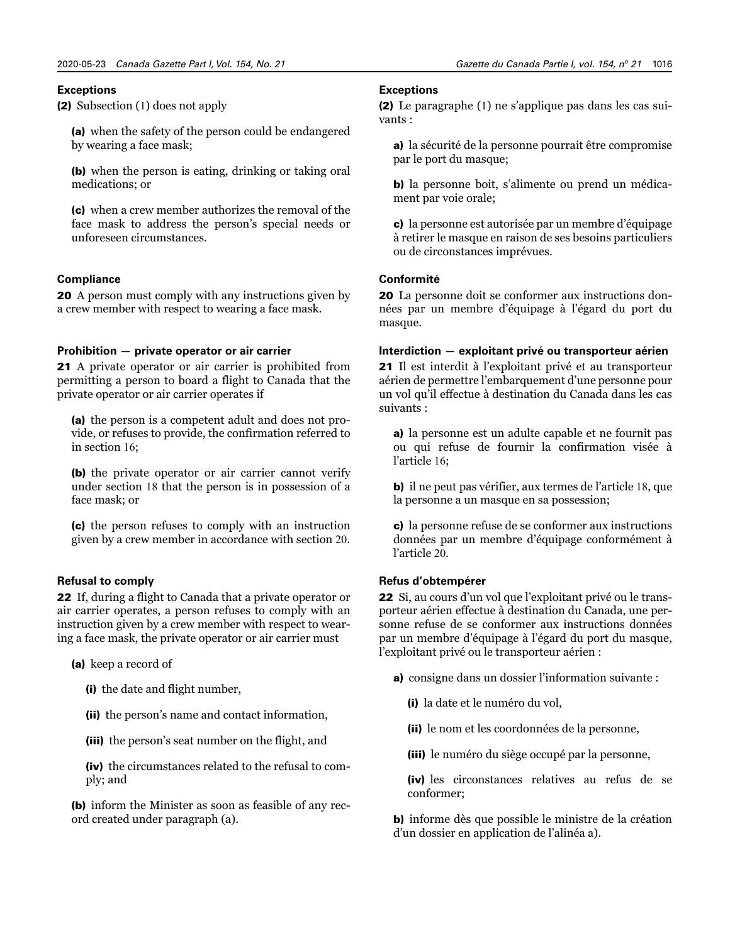### **Exceptions**

(2) Subsection (1) does not apply

(a) when the safety of the person could be endangered by wearing a face mask;

(b) when the person is eating, drinking or taking oral medications; or

(c) when a crew member authorizes the removal of the face mask to address the person's special needs or unforeseen circumstances.

### **Compliance**

20 A person must comply with any instructions given by a crew member with respect to wearing a face mask.

### **Prohibition — private operator or air carrier**

21 A private operator or air carrier is prohibited from permitting a person to board a flight to Canada that the private operator or air carrier operates if

(a) the person is a competent adult and does not provide, or refuses to provide, the confirmation referred to in section 16;

(b) the private operator or air carrier cannot verify under section 18 that the person is in possession of a face mask; or

(c) the person refuses to comply with an instruction given by a crew member in accordance with section 20.

### **Refusal to comply**

22 If, during a flight to Canada that a private operator or air carrier operates, a person refuses to comply with an instruction given by a crew member with respect to wearing a face mask, the private operator or air carrier must

(a) keep a record of

(i) the date and flight number,

(ii) the person's name and contact information,

(iii) the person's seat number on the flight, and

(iv) the circumstances related to the refusal to comply; and

(b) inform the Minister as soon as feasible of any record created under paragraph (a).

#### **Exceptions**

(2) Le paragraphe (1) ne s'applique pas dans les cas suivants :

a) la sécurité de la personne pourrait être compromise par le port du masque;

b) la personne boit, s'alimente ou prend un médicament par voie orale;

c) la personne est autorisée par un membre d'équipage à retirer le masque en raison de ses besoins particuliers ou de circonstances imprévues.

### **Conformité**

20 La personne doit se conformer aux instructions données par un membre d'équipage à l'égard du port du masque.

### **Interdiction — exploitant privé ou transporteur aérien**

21 Il est interdit à l'exploitant privé et au transporteur aérien de permettre l'embarquement d'une personne pour un vol qu'il effectue à destination du Canada dans les cas suivants :

a) la personne est un adulte capable et ne fournit pas ou qui refuse de fournir la confirmation visée à l'article 16;

b) il ne peut pas vérifier, aux termes de l'article 18, que la personne a un masque en sa possession;

c) la personne refuse de se conformer aux instructions données par un membre d'équipage conformément à l'article 20.

#### **Refus d'obtempérer**

22 Si, au cours d'un vol que l'exploitant privé ou le transporteur aérien effectue à destination du Canada, une personne refuse de se conformer aux instructions données par un membre d'équipage à l'égard du port du masque, l'exploitant privé ou le transporteur aérien :

a) consigne dans un dossier l'information suivante :

(i) la date et le numéro du vol,

(ii) le nom et les coordonnées de la personne,

(iii) le numéro du siège occupé par la personne,

(iv) les circonstances relatives au refus de se conformer;

b) informe dès que possible le ministre de la création d'un dossier en application de l'alinéa a).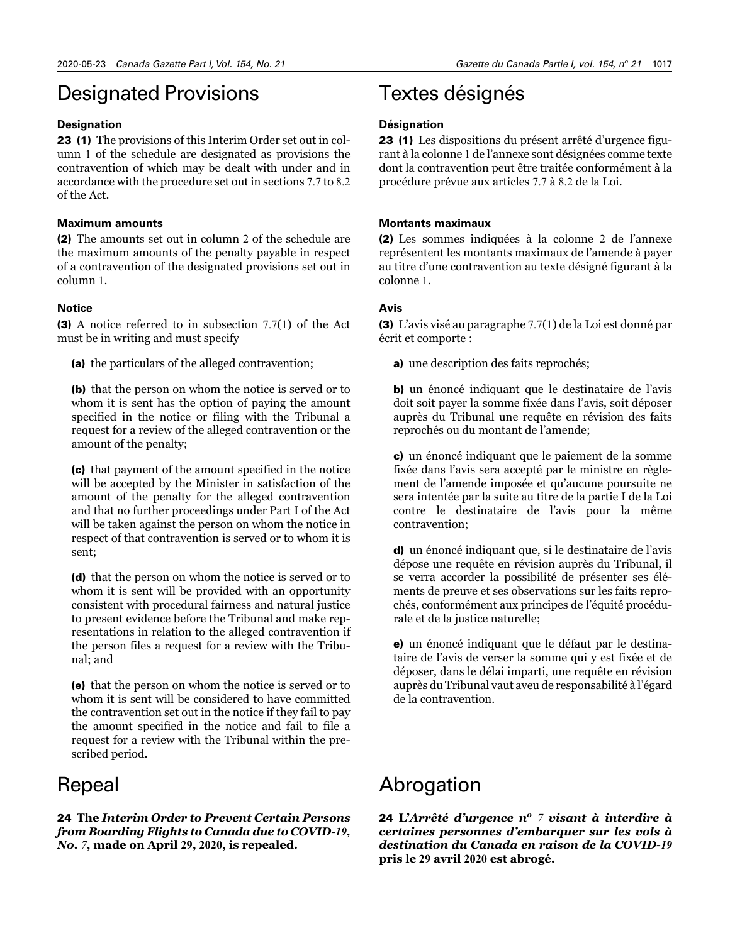### Designated Provisions

### **Designation**

**23 (1)** The provisions of this Interim Order set out in column 1 of the schedule are designated as provisions the contravention of which may be dealt with under and in accordance with the procedure set out in sections 7.7 to 8.2 of the Act.

### **Maximum amounts**

(2) The amounts set out in column 2 of the schedule are the maximum amounts of the penalty payable in respect of a contravention of the designated provisions set out in column 1.

### **Notice**

(3) A notice referred to in subsection 7.7(1) of the Act must be in writing and must specify

(a) the particulars of the alleged contravention;

(b) that the person on whom the notice is served or to whom it is sent has the option of paying the amount specified in the notice or filing with the Tribunal a request for a review of the alleged contravention or the amount of the penalty;

(c) that payment of the amount specified in the notice will be accepted by the Minister in satisfaction of the amount of the penalty for the alleged contravention and that no further proceedings under Part I of the Act will be taken against the person on whom the notice in respect of that contravention is served or to whom it is sent;

(d) that the person on whom the notice is served or to whom it is sent will be provided with an opportunity consistent with procedural fairness and natural justice to present evidence before the Tribunal and make representations in relation to the alleged contravention if the person files a request for a review with the Tribunal; and

(e) that the person on whom the notice is served or to whom it is sent will be considered to have committed the contravention set out in the notice if they fail to pay the amount specified in the notice and fail to file a request for a review with the Tribunal within the prescribed period.

### Repeal

24 **The** *Interim Order to Prevent Certain Persons from Boarding Flights to Canada due to COVID-19, No. 7***, made on April 29, 2020, is repealed.**

### Textes désignés

### **Désignation**

23 (1) Les dispositions du présent arrêté d'urgence figurant à la colonne 1 de l'annexe sont désignées comme texte dont la contravention peut être traitée conformément à la procédure prévue aux articles 7.7 à 8.2 de la Loi.

### **Montants maximaux**

(2) Les sommes indiquées à la colonne 2 de l'annexe représentent les montants maximaux de l'amende à payer au titre d'une contravention au texte désigné figurant à la colonne 1.

### **Avis**

(3) L'avis visé au paragraphe 7.7(1) de la Loi est donné par écrit et comporte :

a) une description des faits reprochés;

b) un énoncé indiquant que le destinataire de l'avis doit soit payer la somme fixée dans l'avis, soit déposer auprès du Tribunal une requête en révision des faits reprochés ou du montant de l'amende;

c) un énoncé indiquant que le paiement de la somme fixée dans l'avis sera accepté par le ministre en règlement de l'amende imposée et qu'aucune poursuite ne sera intentée par la suite au titre de la partie I de la Loi contre le destinataire de l'avis pour la même contravention;

d) un énoncé indiquant que, si le destinataire de l'avis dépose une requête en révision auprès du Tribunal, il se verra accorder la possibilité de présenter ses éléments de preuve et ses observations sur les faits reprochés, conformément aux principes de l'équité procédurale et de la justice naturelle;

e) un énoncé indiquant que le défaut par le destinataire de l'avis de verser la somme qui y est fixée et de déposer, dans le délai imparti, une requête en révision auprès du Tribunal vaut aveu de responsabilité à l'égard de la contravention.

### Abrogation

24 **L'***Arrêté d'urgence n<sup>o</sup> 7 visant à interdire à certaines personnes d'embarquer sur les vols à destination du Canada en raison de la COVID-19* **pris le 29 avril 2020 est abrogé.**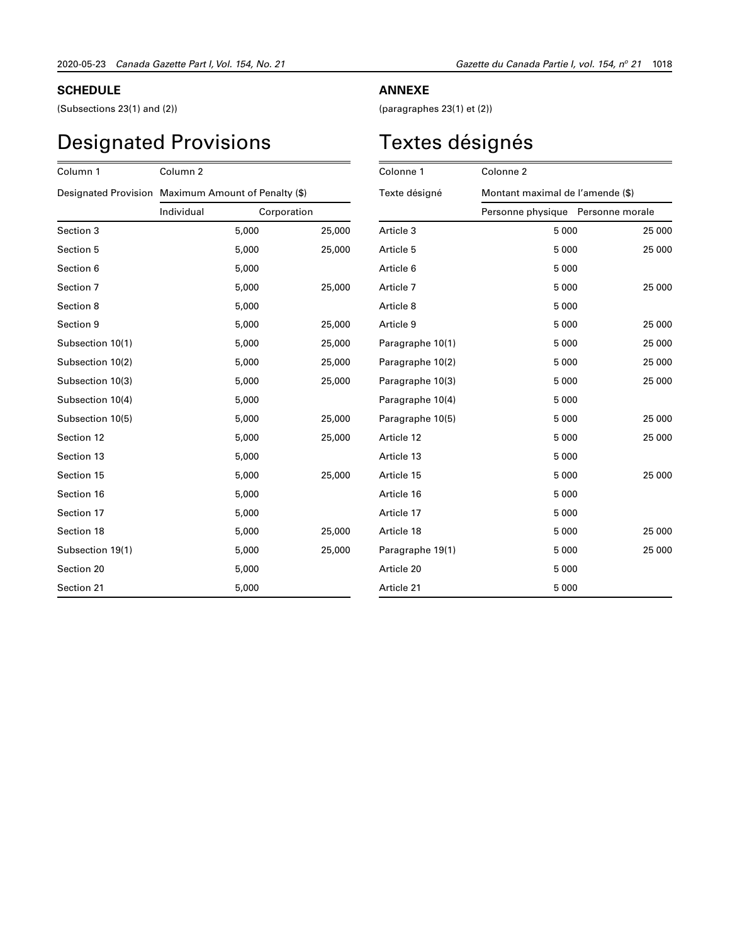### **SCHEDULE**

(Subsections 23(1) and (2))

## Designated Provisions

Column 1 Column 2

Designated Provision Maximum Amount of Penalty (\$)

|                  | Individual | Corporation |        |
|------------------|------------|-------------|--------|
| Section 3        |            | 5,000       | 25,000 |
| Section 5        |            | 5,000       | 25,000 |
| Section 6        |            | 5,000       |        |
| Section 7        |            | 5,000       | 25,000 |
| Section 8        |            | 5,000       |        |
| Section 9        |            | 5,000       | 25,000 |
| Subsection 10(1) |            | 5,000       | 25,000 |
| Subsection 10(2) |            | 5,000       | 25,000 |
| Subsection 10(3) |            | 5,000       | 25,000 |
| Subsection 10(4) |            | 5,000       |        |
| Subsection 10(5) |            | 5,000       | 25,000 |
| Section 12       |            | 5,000       | 25,000 |
| Section 13       |            | 5,000       |        |
| Section 15       |            | 5,000       | 25,000 |
| Section 16       |            | 5,000       |        |
| Section 17       |            | 5,000       |        |
| Section 18       |            | 5,000       | 25,000 |
| Subsection 19(1) |            | 5,000       | 25,000 |
| Section 20       |            | 5,000       |        |
| Section 21       |            | 5,000       |        |

### **ANNEXE**

(paragraphes 23(1) et (2))

### Textes désignés

| Colonne 1        | Colonne <sub>2</sub>              |        |  |
|------------------|-----------------------------------|--------|--|
| Texte désigné    | Montant maximal de l'amende (\$)  |        |  |
|                  | Personne physique Personne morale |        |  |
| Article 3        | 5 0 0 0                           | 25 000 |  |
| Article 5        | 5 0 0 0                           | 25 000 |  |
| Article 6        | 5 0 0 0                           |        |  |
| Article 7        | 5 0 0 0                           | 25 000 |  |
| Article 8        | 5 0 0 0                           |        |  |
| Article 9        | 5 0 0 0                           | 25 000 |  |
| Paragraphe 10(1) | 5 0 0 0                           | 25 000 |  |
| Paragraphe 10(2) | 5 0 0 0                           | 25 000 |  |
| Paragraphe 10(3) | 5 0 0 0                           | 25 000 |  |
| Paragraphe 10(4) | 5 0 0 0                           |        |  |
| Paragraphe 10(5) | 5 0 0 0                           | 25 000 |  |
| Article 12       | 5 0 0 0                           | 25 000 |  |
| Article 13       | 5 0 0 0                           |        |  |
| Article 15       | 5 0 0 0                           | 25 000 |  |
| Article 16       | 5 0 0 0                           |        |  |
| Article 17       | 5 0 0 0                           |        |  |
| Article 18       | 5 0 0 0                           | 25 000 |  |
| Paragraphe 19(1) | 5 0 0 0                           | 25 000 |  |
| Article 20       | 5 0 0 0                           |        |  |
| Article 21       | 5 0 0 0                           |        |  |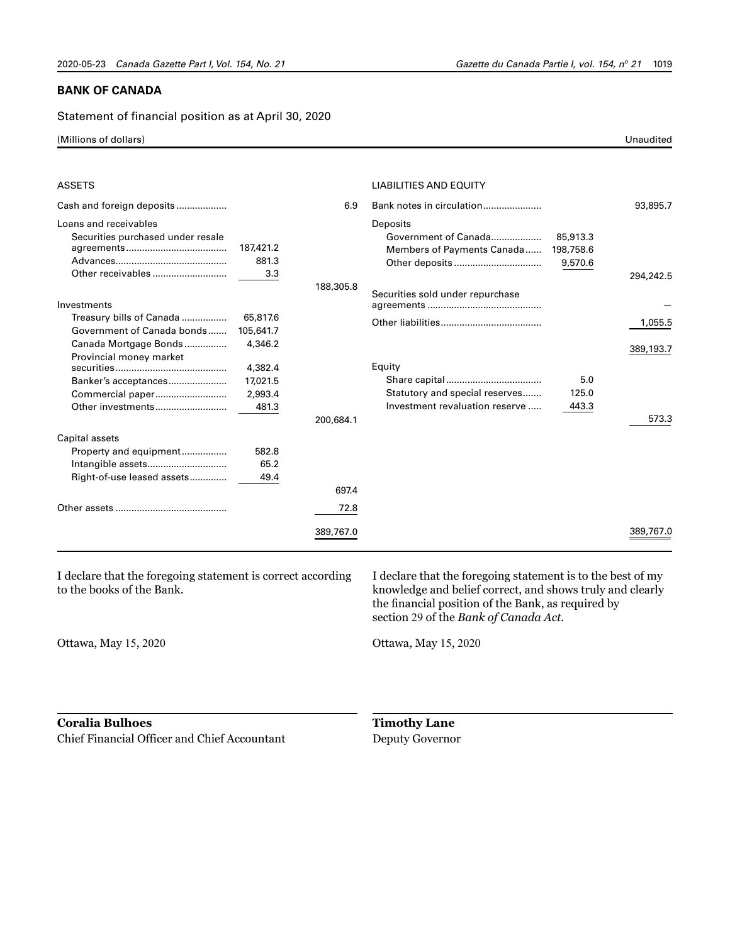### **BANK OF CANADA**

Statement of financial position as at April 30, 2020

### (Millions of dollars) Unaudited

| <b>ASSETS</b>                                                                               |                              |           | <b>LIABILITIES AND EQUITY</b>                                    |                                  |           |
|---------------------------------------------------------------------------------------------|------------------------------|-----------|------------------------------------------------------------------|----------------------------------|-----------|
| Cash and foreign deposits                                                                   |                              | 6.9       | Bank notes in circulation                                        |                                  | 93,895.7  |
| Loans and receivables<br>Securities purchased under resale<br>Other receivables             | 187,421.2<br>881.3<br>3.3    | 188,305.8 | Deposits<br>Government of Canada<br>Members of Payments Canada   | 85,913.3<br>198,758.6<br>9,570.6 | 294,242.5 |
| Investments                                                                                 |                              |           | Securities sold under repurchase                                 |                                  |           |
| Treasury bills of Canada<br>Government of Canada bonds                                      | 65,817.6<br>105,641.7        |           |                                                                  |                                  | 1,055.5   |
| Canada Mortgage Bonds<br>Provincial money market                                            | 4,346.2                      |           |                                                                  |                                  | 389,193.7 |
|                                                                                             | 4,382.4                      |           | Equity                                                           |                                  |           |
| Banker's acceptances<br>Commercial paper<br>Other investments                               | 17,021.5<br>2,993.4<br>481.3 |           | Statutory and special reserves<br>Investment revaluation reserve | 5.0<br>125.0<br>443.3            |           |
|                                                                                             |                              | 200,684.1 |                                                                  |                                  | 573.3     |
| Capital assets<br>Property and equipment<br>Intangible assets<br>Right-of-use leased assets | 582.8<br>65.2<br>49.4        | 697.4     |                                                                  |                                  |           |
|                                                                                             |                              | 72.8      |                                                                  |                                  |           |
|                                                                                             |                              | 389,767.0 |                                                                  |                                  | 389.767.1 |

I declare that the foregoing statement is correct according to the books of the Bank.

I declare that the foregoing statement is to the best of my knowledge and belief correct, and shows truly and clearly the financial position of the Bank, as required by section 29 of the *Bank of Canada Act.*

Ottawa, May 15, 2020

Ottawa, May 15, 2020

**Coralia Bulhoes** Chief Financial Officer and Chief Accountant

**Timothy Lane** Deputy Governor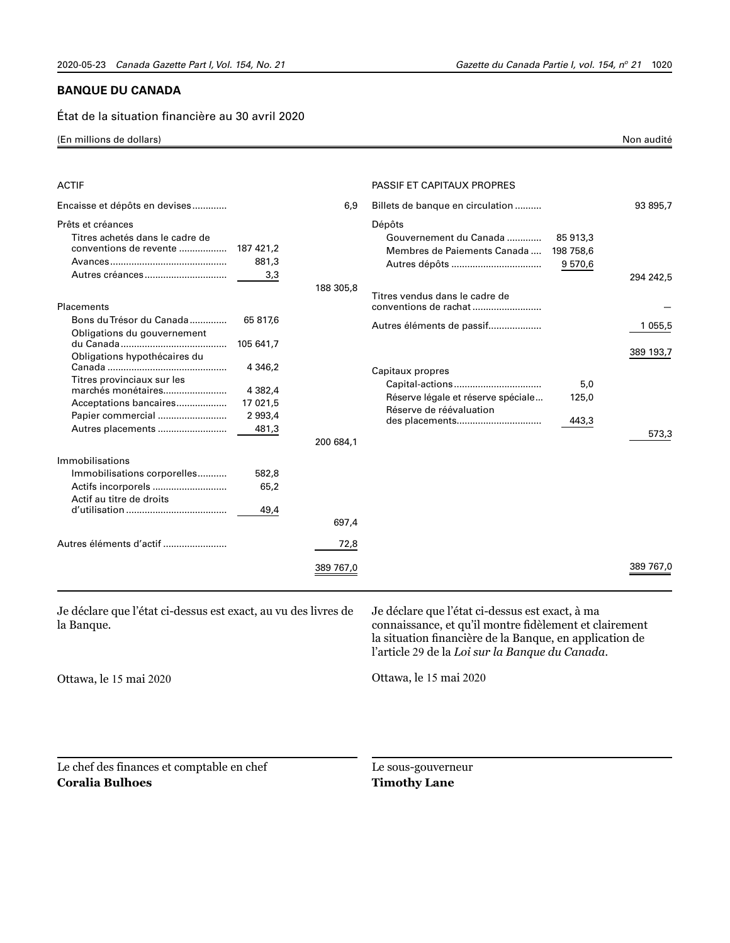### **BANQUE DU CANADA**

État de la situation financière au 30 avril 2020

(En millions de dollars) Non audité

| <b>ACTIF</b>                                                                                                         |                                             |                   | <b>PASSIF ET CAPITAUX PROPRES</b>                                                                                                                                                                                       |                                  |                      |
|----------------------------------------------------------------------------------------------------------------------|---------------------------------------------|-------------------|-------------------------------------------------------------------------------------------------------------------------------------------------------------------------------------------------------------------------|----------------------------------|----------------------|
| Encaisse et dépôts en devises                                                                                        |                                             | 6,9               | Billets de banque en circulation                                                                                                                                                                                        |                                  | 93 895,7             |
| Prêts et créances<br>Titres achetés dans le cadre de<br>conventions de revente<br>Autres créances                    | 187 421,2<br>881,3<br>3,3                   | 188 305,8         | Dépôts<br>Gouvernement du Canada<br>Membres de Paiements Canada<br>Titres vendus dans le cadre de                                                                                                                       | 85 913,3<br>198 758,6<br>9 570,6 | 294 242,5            |
| Placements                                                                                                           |                                             |                   |                                                                                                                                                                                                                         |                                  |                      |
| Bons du Trésor du Canada<br>Obligations du gouvernement<br>Obligations hypothécaires du                              | 65 817,6<br>105 641,7<br>4 346,2            |                   | Autres éléments de passif                                                                                                                                                                                               |                                  | 1 055,5<br>389 193,7 |
| Titres provinciaux sur les<br>marchés monétaires<br>Acceptations bancaires<br>Papier commercial<br>Autres placements | 4 3 8 2,4<br>17 021,5<br>2 9 9 3,4<br>481,3 | 200 684,1         | Capitaux propres<br>Réserve légale et réserve spéciale<br>Réserve de réévaluation                                                                                                                                       | 5,0<br>125,0<br>443,3            | 573,3                |
| Immobilisations<br>Immobilisations corporelles<br>Actif au titre de droits                                           | 582,8<br>65,2<br>49,4                       | 697,4             |                                                                                                                                                                                                                         |                                  |                      |
| Autres éléments d'actif                                                                                              |                                             | 72,8<br>389 767,0 |                                                                                                                                                                                                                         |                                  | 389 767,0            |
| Je déclare que l'état ci-dessus est exact, au vu des livres de<br>la Banque.                                         |                                             |                   | Je déclare que l'état ci-dessus est exact, à ma<br>connaissance, et qu'il montre fidèlement et clairement<br>la situation financière de la Banque, en application de<br>l'article 29 de la Loi sur la Banque du Canada. |                                  |                      |
| Ottawa, le 15 mai 2020                                                                                               |                                             |                   | Ottawa, le 15 mai 2020                                                                                                                                                                                                  |                                  |                      |
| Le chef des finances et comptable en chef                                                                            |                                             |                   | Le sous-gouverneur                                                                                                                                                                                                      |                                  |                      |

**Coralia Bulhoes**

**Timothy Lane**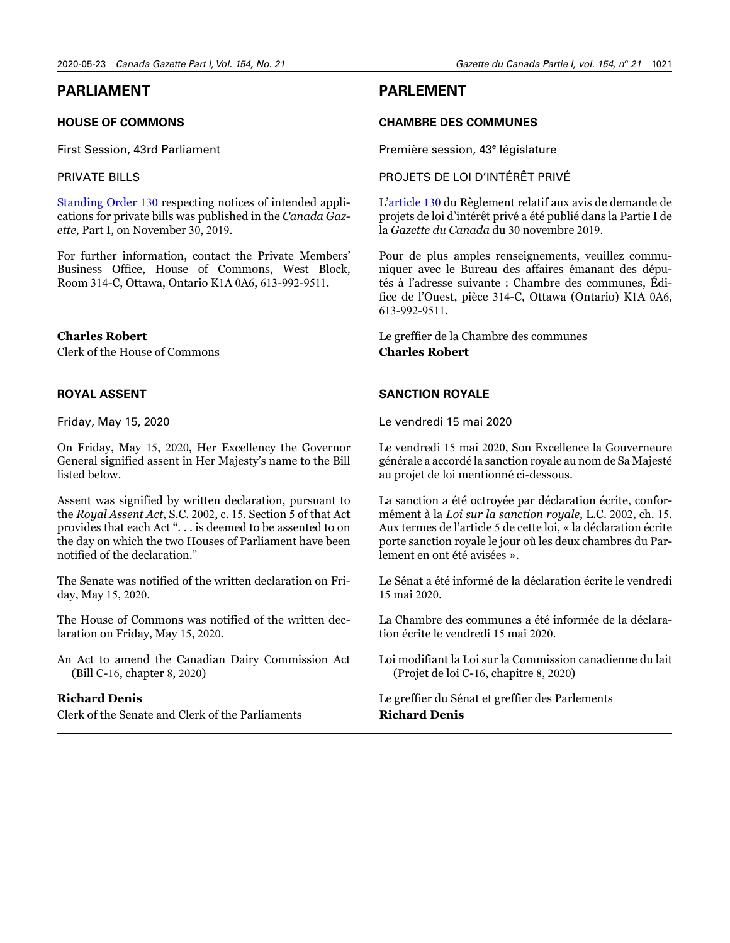### <span id="page-21-0"></span>**PARLIAMENT**

### **HOUSE OF COMMONS**

First Session, 43rd Parliament

### PRIVATE BILLS

[Standing Order](http://www.gazette.gc.ca/rp-pr/p1/2019/2019-11-30/html/parliament-parlement-eng.html) 130 respecting notices of intended applications for private bills was published in the *Canada Gazette*, Part I, on November 30, 2019.

For further information, contact the Private Members' Business Office, House of Commons, West Block, Room 314-C, Ottawa, Ontario K1A 0A6, 613-992-9511.

### **Charles Robert**

Clerk of the House of Commons

### **ROYAL ASSENT**

Friday, May 15, 2020

On Friday, May 15, 2020, Her Excellency the Governor General signified assent in Her Majesty's name to the Bill listed below.

Assent was signified by written declaration, pursuant to the *Royal Assent Act*, S.C. 2002, c. 15. Section 5 of that Act provides that each Act ". . . is deemed to be assented to on the day on which the two Houses of Parliament have been notified of the declaration."

The Senate was notified of the written declaration on Friday, May 15, 2020.

The House of Commons was notified of the written declaration on Friday, May 15, 2020.

An Act to amend the Canadian Dairy Commission Act (Bill C-16, chapter 8, 2020)

### **Richard Denis**

Clerk of the Senate and Clerk of the Parliaments

### **PARLEMENT**

### **CHAMBRE DES COMMUNES**

Première session, 43<sup>e</sup> législature

PROJETS DE LOI D'INTÉRÊT PRIVÉ

L['article](http://www.gazette.gc.ca/rp-pr/p1/2019/2019-11-30/html/parliament-parlement-fra.html) 130 du Règlement relatif aux avis de demande de projets de loi d'intérêt privé a été publié dans la Partie I de la *Gazette du Canada* du 30 novembre 2019.

Pour de plus amples renseignements, veuillez communiquer avec le Bureau des affaires émanant des députés à l'adresse suivante : Chambre des communes, Édifice de l'Ouest, pièce 314-C, Ottawa (Ontario) K1A 0A6, 613-992-9511.

Le greffier de la Chambre des communes **Charles Robert**

### **SANCTION ROYALE**

Le vendredi 15 mai 2020

Le vendredi 15 mai 2020, Son Excellence la Gouverneure générale a accordé la sanction royale au nom de Sa Majesté au projet de loi mentionné ci-dessous.

La sanction a été octroyée par déclaration écrite, conformément à la *Loi sur la sanction royale*, L.C. 2002, ch. 15. Aux termes de l'article 5 de cette loi, « la déclaration écrite porte sanction royale le jour où les deux chambres du Parlement en ont été avisées ».

Le Sénat a été informé de la déclaration écrite le vendredi 15 mai 2020.

La Chambre des communes a été informée de la déclaration écrite le vendredi 15 mai 2020.

Loi modifiant la Loi sur la Commission canadienne du lait (Projet de loi C-16, chapitre 8, 2020)

Le greffier du Sénat et greffier des Parlements **Richard Denis**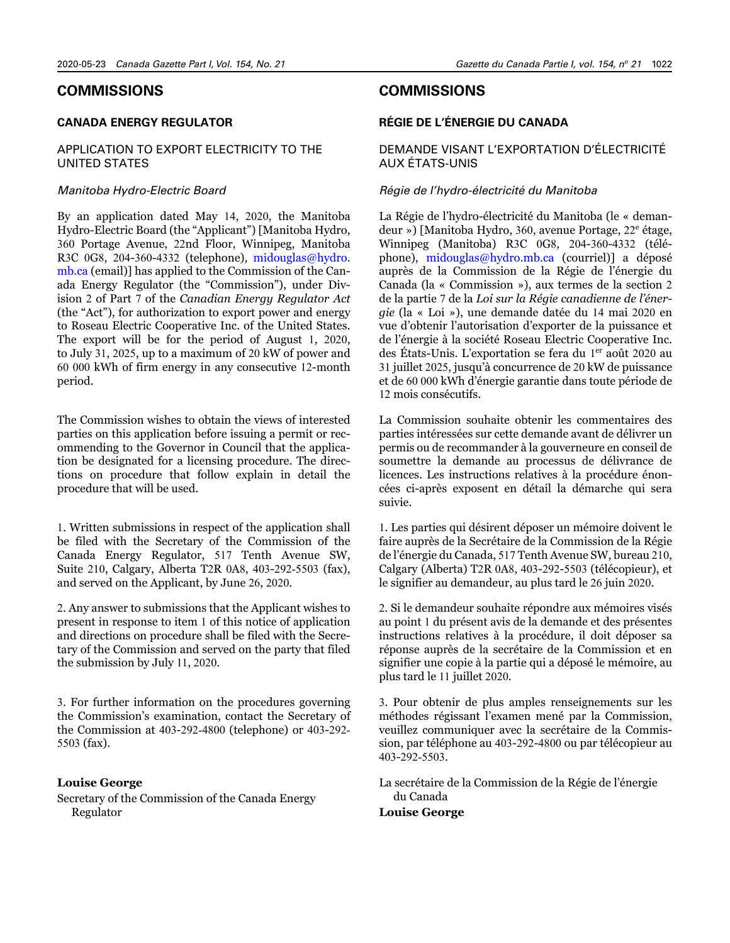### <span id="page-22-0"></span>**COMMISSIONS**

### **CANADA ENERGY REGULATOR**

### APPLICATION TO EXPORT ELECTRICITY TO THE UNITED STATES

### *Manitoba Hydro-Electric Board*

By an application dated May 14, 2020, the Manitoba Hydro-Electric Board (the "Applicant") [Manitoba Hydro, 360 Portage Avenue, 22nd Floor, Winnipeg, Manitoba R3C 0G8, 204-360-4332 (telephone), [midouglas@hydro.](mailto:midouglas%40hydro.mb.ca?subject=) [mb.ca](mailto:midouglas%40hydro.mb.ca?subject=) (email)] has applied to the Commission of the Canada Energy Regulator (the "Commission"), under Division 2 of Part 7 of the *Canadian Energy Regulator Act* (the "Act"), for authorization to export power and energy to Roseau Electric Cooperative Inc. of the United States. The export will be for the period of August 1, 2020, to July 31, 2025, up to a maximum of 20 kW of power and 60 000 kWh of firm energy in any consecutive 12-month period.

The Commission wishes to obtain the views of interested parties on this application before issuing a permit or recommending to the Governor in Council that the application be designated for a licensing procedure. The directions on procedure that follow explain in detail the procedure that will be used.

1. Written submissions in respect of the application shall be filed with the Secretary of the Commission of the Canada Energy Regulator, 517 Tenth Avenue SW, Suite 210, Calgary, Alberta T2R 0A8, 403-292-5503 (fax), and served on the Applicant, by June 26, 2020.

2. Any answer to submissions that the Applicant wishes to present in response to item 1 of this notice of application and directions on procedure shall be filed with the Secretary of the Commission and served on the party that filed the submission by July 11, 2020.

3. For further information on the procedures governing the Commission's examination, contact the Secretary of the Commission at 403-292-4800 (telephone) or 403-292- 5503 (fax).

### **Louise George**

Secretary of the Commission of the Canada Energy Regulator

### **COMMISSIONS**

### **RÉGIE DE L'ÉNERGIE DU CANADA**

### DEMANDE VISANT L'EXPORTATION D'ÉLECTRICITÉ AUX ÉTATS-UNIS

### *Régie de l'hydro-électricité du Manitoba*

La Régie de l'hydro-électricité du Manitoba (le « demandeur ») [Manitoba Hydro, 360, avenue Portage, 22<sup>e</sup> étage, Winnipeg (Manitoba) R3C 0G8, 204-360-4332 (téléphone), [midouglas@hydro.mb.ca](mailto:midouglas%40hydro.mb.ca?subject=) (courriel)] a déposé auprès de la Commission de la Régie de l'énergie du Canada (la « Commission »), aux termes de la section 2 de la partie 7 de la *Loi sur la Régie canadienne de l'énergie* (la « Loi »), une demande datée du 14 mai 2020 en vue d'obtenir l'autorisation d'exporter de la puissance et de l'énergie à la société Roseau Electric Cooperative Inc. des États-Unis. L'exportation se fera du 1<sup>er</sup> août 2020 au 31 juillet 2025, jusqu'à concurrence de 20 kW de puissance et de 60 000 kWh d'énergie garantie dans toute période de 12 mois consécutifs.

La Commission souhaite obtenir les commentaires des parties intéressées sur cette demande avant de délivrer un permis ou de recommander à la gouverneure en conseil de soumettre la demande au processus de délivrance de licences. Les instructions relatives à la procédure énoncées ci-après exposent en détail la démarche qui sera suivie.

1. Les parties qui désirent déposer un mémoire doivent le faire auprès de la Secrétaire de la Commission de la Régie de l'énergie du Canada, 517 Tenth Avenue SW, bureau 210, Calgary (Alberta) T2R 0A8, 403-292-5503 (télécopieur), et le signifier au demandeur, au plus tard le 26 juin 2020.

2. Si le demandeur souhaite répondre aux mémoires visés au point 1 du présent avis de la demande et des présentes instructions relatives à la procédure, il doit déposer sa réponse auprès de la secrétaire de la Commission et en signifier une copie à la partie qui a déposé le mémoire, au plus tard le 11 juillet 2020.

3. Pour obtenir de plus amples renseignements sur les méthodes régissant l'examen mené par la Commission, veuillez communiquer avec la secrétaire de la Commission, par téléphone au 403-292-4800 ou par télécopieur au 403-292-5503.

La secrétaire de la Commission de la Régie de l'énergie du Canada

**Louise George**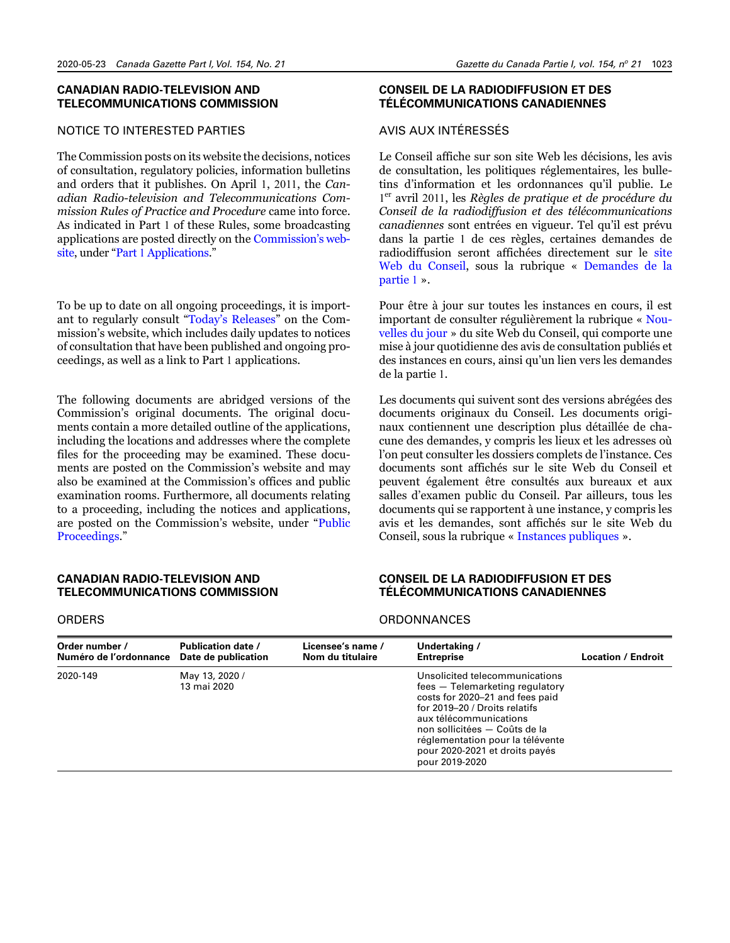### **CANADIAN RADIO-TELEVISION AND TELECOMMUNICATIONS COMMISSION**

### NOTICE TO INTERESTED PARTIES

The Commission posts on its website the decisions, notices of consultation, regulatory policies, information bulletins and orders that it publishes. On April 1, 2011, the *Canadian Radio-television and Telecommunications Commission Rules of Practice and Procedure* came into force. As indicated in Part 1 of these Rules, some broadcasting applications are posted directly on the [Commission's web](https://crtc.gc.ca/eng/home-accueil.htm)[site](https://crtc.gc.ca/eng/home-accueil.htm), under "Part 1 [Applications](https://services.crtc.gc.ca/pub/instances-proceedings/Default-Defaut.aspx?S=O&PA=A&PT=A&PST=A&Lang=eng&_ga=2.177615269.1216598276.1548762917-64123775.1548762917)."

To be up to date on all ongoing proceedings, it is important to regularly consult ["Today's Releases](https://crtc.gc.ca/eng/whatsnew.htm?_ga=2.184512678.1216598276.1548762917-64123775.1548762917)" on the Commission's website, which includes daily updates to notices of consultation that have been published and ongoing proceedings, as well as a link to Part 1 applications.

The following documents are abridged versions of the Commission's original documents. The original documents contain a more detailed outline of the applications, including the locations and addresses where the complete files for the proceeding may be examined. These documents are posted on the Commission's website and may also be examined at the Commission's offices and public examination rooms. Furthermore, all documents relating to a proceeding, including the notices and applications, are posted on the Commission's website, under ["Public](https://crtc.gc.ca/eng/consultation/)  [Proceedings](https://crtc.gc.ca/eng/consultation/)."

### **CANADIAN RADIO-TELEVISION AND TELECOMMUNICATIONS COMMISSION**

### **CONSEIL DE LA RADIODIFFUSION ET DES TÉLÉCOMMUNICATIONS CANADIENNES**

### AVIS AUX INTÉRESSÉS

Le Conseil affiche sur son site Web les décisions, les avis de consultation, les politiques réglementaires, les bulletins d'information et les ordonnances qu'il publie. Le 1er avril 2011, les *Règles de pratique et de procédure du Conseil de la radiodiffusion et des télécommunications canadiennes* sont entrées en vigueur. Tel qu'il est prévu dans la partie 1 de ces règles, certaines demandes de radiodiffusion seront affichées directement sur le [site](https://crtc.gc.ca/fra/accueil-home.htm)  [Web du Conseil,](https://crtc.gc.ca/fra/accueil-home.htm) sous la rubrique « [Demandes de la](https://services.crtc.gc.ca/pub/instances-proceedings/Default-Defaut.aspx?S=O&PA=A&PT=A&PST=A&Lang=f&_ga=2.18239929.1216598276.1548762917-64123775.1548762917)  [partie](https://services.crtc.gc.ca/pub/instances-proceedings/Default-Defaut.aspx?S=O&PA=A&PT=A&PST=A&Lang=f&_ga=2.18239929.1216598276.1548762917-64123775.1548762917) 1 ».

Pour être à jour sur toutes les instances en cours, il est important de consulter régulièrement la rubrique « [Nou](https://crtc.gc.ca/fra/whatsnew.htm?_ga=2.18239929.1216598276.1548762917-64123775.1548762917)[velles du jour](https://crtc.gc.ca/fra/whatsnew.htm?_ga=2.18239929.1216598276.1548762917-64123775.1548762917) » du site Web du Conseil, qui comporte une mise à jour quotidienne des avis de consultation publiés et des instances en cours, ainsi qu'un lien vers les demandes de la partie 1.

Les documents qui suivent sont des versions abrégées des documents originaux du Conseil. Les documents originaux contiennent une description plus détaillée de chacune des demandes, y compris les lieux et les adresses où l'on peut consulter les dossiers complets de l'instance. Ces documents sont affichés sur le site Web du Conseil et peuvent également être consultés aux bureaux et aux salles d'examen public du Conseil. Par ailleurs, tous les documents qui se rapportent à une instance, y compris les avis et les demandes, sont affichés sur le site Web du Conseil, sous la rubrique « [Instances publiques](https://crtc.gc.ca/fra/consultation/) ».

### **CONSEIL DE LA RADIODIFFUSION ET DES TÉLÉCOMMUNICATIONS CANADIENNES**

| Order number /         | <b>Publication date /</b>     | Licensee's name / | Undertaking /                                                                                                                                                                                                                                                                            | <b>Location / Endroit</b> |
|------------------------|-------------------------------|-------------------|------------------------------------------------------------------------------------------------------------------------------------------------------------------------------------------------------------------------------------------------------------------------------------------|---------------------------|
| Numéro de l'ordonnance | Date de publication           | Nom du titulaire  | <b>Entreprise</b>                                                                                                                                                                                                                                                                        |                           |
| 2020-149               | May 13, 2020 /<br>13 mai 2020 |                   | Unsolicited telecommunications<br>fees - Telemarketing regulatory<br>costs for 2020-21 and fees paid<br>for 2019-20 / Droits relatifs<br>aux télécommunications<br>non sollicitées - Coûts de la<br>réglementation pour la télévente<br>pour 2020-2021 et droits payés<br>pour 2019-2020 |                           |

#### **ORDERS**

### **ORDONNANCES**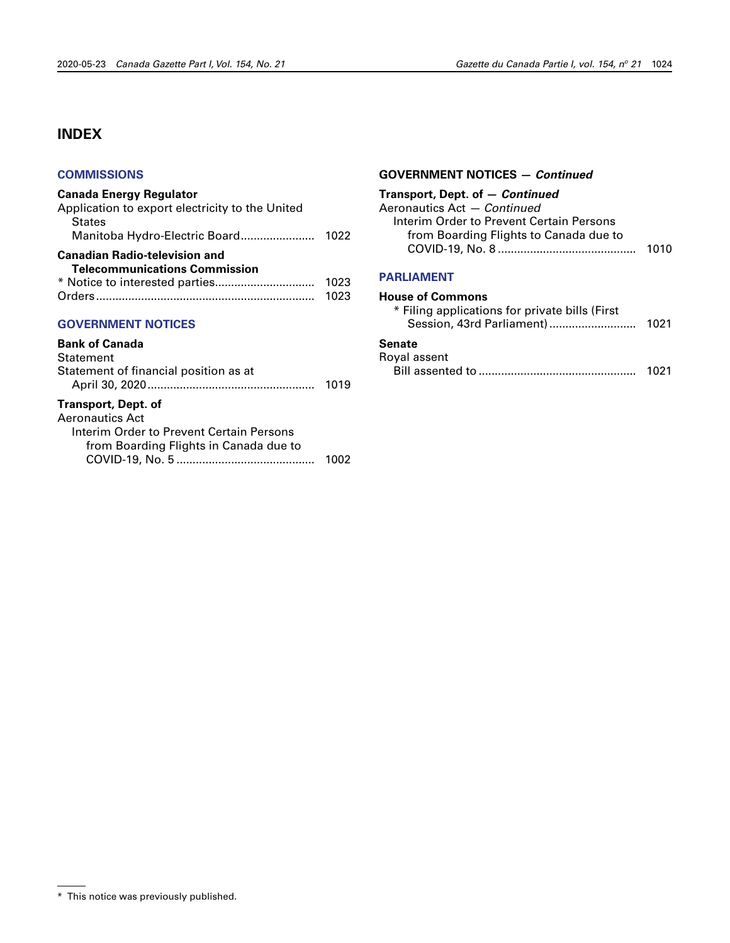### <span id="page-24-0"></span>**INDEX**

### **[COMMISSIONS](#page-22-0)**

### **Canada Energy Regulator**<br>Application to export elect

| Application to export electricity to the United |      |
|-------------------------------------------------|------|
| <b>States</b>                                   |      |
| Manitoba Hydro-Electric Board                   | 1022 |
| <b>Canadian Radio-television and</b>            |      |
| <b>Telecommunications Commission</b>            |      |
|                                                 | 1023 |
|                                                 | 1023 |

### **[GOVERNMENT NOTICES](#page-2-0)**

### **Bank of Canada**

| Statement                                |      |
|------------------------------------------|------|
| Statement of financial position as at    | 1019 |
| Transport, Dept. of                      |      |
| Aeronautics Act                          |      |
| Interim Order to Prevent Certain Persons |      |
| from Boarding Flights in Canada due to   |      |

| $1.9111 - 0.011$ . The state of $1.9111$ . The state of $1.911$ and $1.911$ |      |
|-----------------------------------------------------------------------------|------|
|                                                                             | 1002 |

### **GOVERNMENT NOTICES —** *Continued*

| 1010 |
|------|
|      |

### **[PARLIAMENT](#page-21-0)**

| House of Commons                               |      |
|------------------------------------------------|------|
| * Filing applications for private bills (First |      |
| Session, 43rd Parliament)                      | 1021 |
| Senate                                         |      |
| Roval assent                                   |      |

| ---------    |      |
|--------------|------|
| Royal assent |      |
|              | 1021 |

<sup>\*</sup> This notice was previously published.